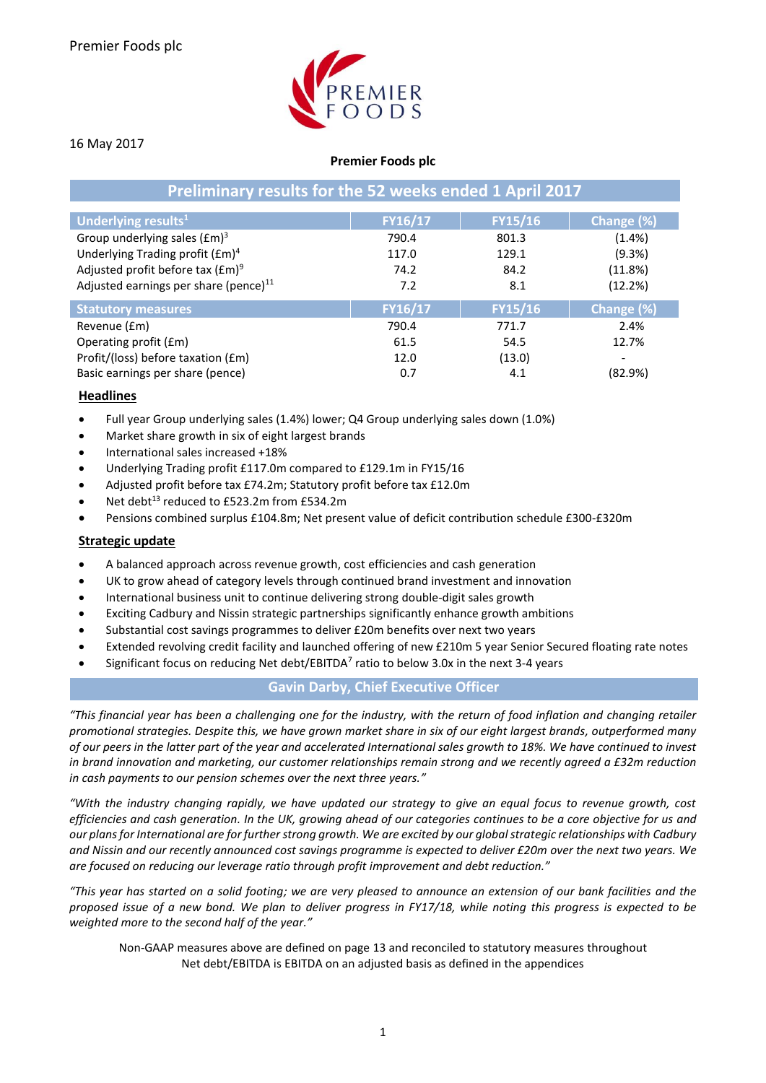

# 16 May 2017

### **Premier Foods plc**

| Preliminary results for the 52 weeks ended 1 April 2017 |             |                |                          |
|---------------------------------------------------------|-------------|----------------|--------------------------|
|                                                         |             |                |                          |
| Underlying results <sup>1</sup>                         | $ $ FY16/17 | FY15/16        | Change (%)               |
| Group underlying sales (£m) <sup>3</sup>                | 790.4       | 801.3          | (1.4% )                  |
| Underlying Trading profit (£m) <sup>4</sup>             | 117.0       | 129.1          | (9.3%)                   |
| Adjusted profit before tax $(fm)^9$                     | 74.2        | 84.2           | (11.8%)                  |
| Adjusted earnings per share (pence) <sup>11</sup>       | 7.2         | 8.1            | (12.2%)                  |
| <b>Statutory measures</b>                               | FY16/17     | <b>FY15/16</b> | Change (%)               |
| Revenue (£m)                                            | 790.4       | 771.7          | 2.4%                     |
| Operating profit (£m)                                   | 61.5        | 54.5           | 12.7%                    |
| Profit/(loss) before taxation (£m)                      | 12.0        | (13.0)         | $\overline{\phantom{a}}$ |
| Basic earnings per share (pence)                        | 0.7         | 4.1            | (82.9%)                  |

# **Headlines**

- Full year Group underlying sales (1.4%) lower; Q4 Group underlying sales down (1.0%)
- Market share growth in six of eight largest brands
- International sales increased +18%
- Underlying Trading profit £117.0m compared to £129.1m in FY15/16
- Adjusted profit before tax £74.2m; Statutory profit before tax £12.0m
- Net debt<sup>13</sup> reduced to £523.2m from £534.2m
- Pensions combined surplus £104.8m; Net present value of deficit contribution schedule £300-£320m

### **Strategic update**

- A balanced approach across revenue growth, cost efficiencies and cash generation
- UK to grow ahead of category levels through continued brand investment and innovation
- International business unit to continue delivering strong double-digit sales growth
- Exciting Cadbury and Nissin strategic partnerships significantly enhance growth ambitions
- Substantial cost savings programmes to deliver £20m benefits over next two years
- Extended revolving credit facility and launched offering of new £210m 5 year Senior Secured floating rate notes
- Significant focus on reducing Net debt/EBITDA<sup>7</sup> ratio to below 3.0x in the next 3-4 years

# **Gavin Darby, Chief Executive Officer**

*"This financial year has been a challenging one for the industry, with the return of food inflation and changing retailer promotional strategies. Despite this, we have grown market share in six of our eight largest brands, outperformed many of our peers in the latter part of the year and accelerated International sales growth to 18%. We have continued to invest in brand innovation and marketing, our customer relationships remain strong and we recently agreed a £32m reduction in cash payments to our pension schemes over the next three years."*

*"With the industry changing rapidly, we have updated our strategy to give an equal focus to revenue growth, cost efficiencies and cash generation. In the UK, growing ahead of our categories continues to be a core objective for us and our plans for International are for further strong growth. We are excited by our global strategic relationships with Cadbury and Nissin and our recently announced cost savings programme is expected to deliver £20m over the next two years. We are focused on reducing our leverage ratio through profit improvement and debt reduction."*

*"This year has started on a solid footing; we are very pleased to announce an extension of our bank facilities and the proposed issue of a new bond. We plan to deliver progress in FY17/18, while noting this progress is expected to be weighted more to the second half of the year."*

Non-GAAP measures above are defined on page 13 and reconciled to statutory measures throughout Net debt/EBITDA is EBITDA on an adjusted basis as defined in the appendices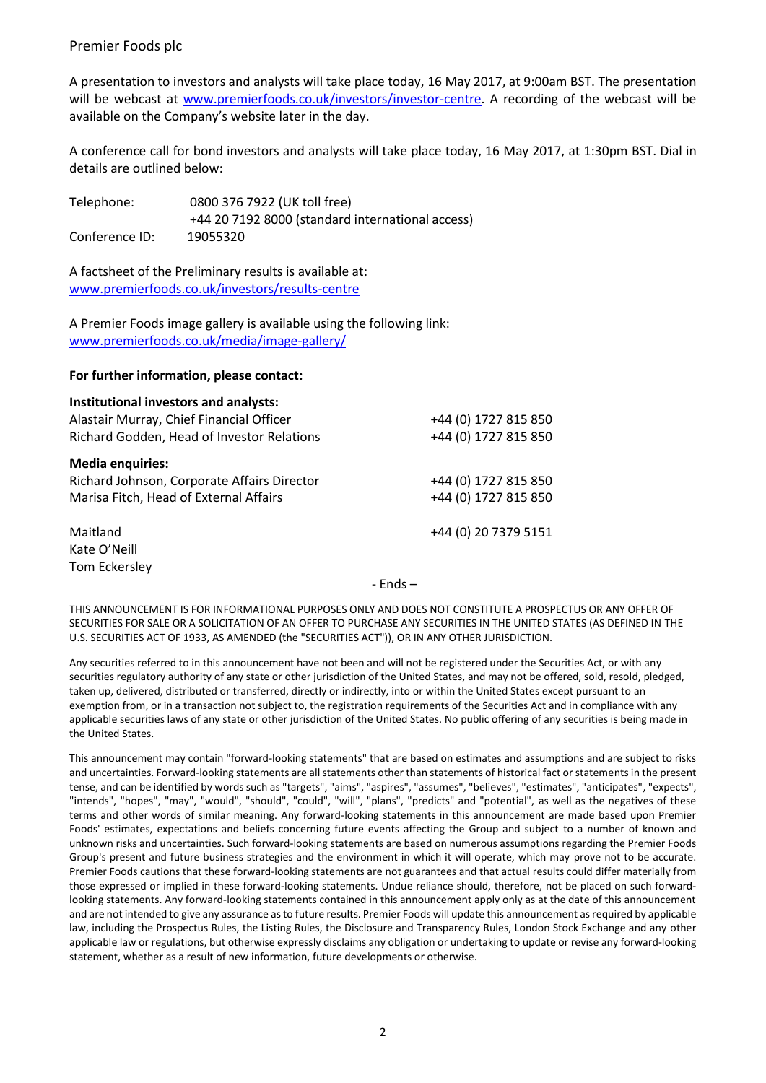A presentation to investors and analysts will take place today, 16 May 2017, at 9:00am BST. The presentation will be webcast at [www.premierfoods.co.uk/investors/investor-centre.](http://www.premierfoods.co.uk/investors/investor-centre) A recording of the webcast will be available on the Company's website later in the day.

A conference call for bond investors and analysts will take place today, 16 May 2017, at 1:30pm BST. Dial in details are outlined below:

| Telephone:     | 0800 376 7922 (UK toll free)                     |
|----------------|--------------------------------------------------|
|                | +44 20 7192 8000 (standard international access) |
| Conference ID: | 19055320                                         |

A factsheet of the Preliminary results is available at: [www.premierfoods.co.uk/investors/results-centre](http://www.premierfoods.co.uk/investors/results-centre)

A Premier Foods image gallery is available using the following link: [www.premierfoods.co.uk/media/image-gallery/](http://www.premierfoods.co.uk/media/image-gallery/)

#### **For further information, please contact:**

| <b>Institutional investors and analysts:</b> |                      |
|----------------------------------------------|----------------------|
| Alastair Murray, Chief Financial Officer     | +44 (0) 1727 815 850 |
| Richard Godden, Head of Investor Relations   | +44 (0) 1727 815 850 |
| <b>Media enquiries:</b>                      |                      |
| Richard Johnson, Corporate Affairs Director  | +44 (0) 1727 815 850 |
| Marisa Fitch, Head of External Affairs       | +44 (0) 1727 815 850 |
| Maitland                                     | +44 (0) 20 7379 5151 |
| Kate O'Neill                                 |                      |
| Tom Eckersley                                |                      |

- Ends –

THIS ANNOUNCEMENT IS FOR INFORMATIONAL PURPOSES ONLY AND DOES NOT CONSTITUTE A PROSPECTUS OR ANY OFFER OF SECURITIES FOR SALE OR A SOLICITATION OF AN OFFER TO PURCHASE ANY SECURITIES IN THE UNITED STATES (AS DEFINED IN THE U.S. SECURITIES ACT OF 1933, AS AMENDED (the "SECURITIES ACT")), OR IN ANY OTHER JURISDICTION.

Any securities referred to in this announcement have not been and will not be registered under the Securities Act, or with any securities regulatory authority of any state or other jurisdiction of the United States, and may not be offered, sold, resold, pledged, taken up, delivered, distributed or transferred, directly or indirectly, into or within the United States except pursuant to an exemption from, or in a transaction not subject to, the registration requirements of the Securities Act and in compliance with any applicable securities laws of any state or other jurisdiction of the United States. No public offering of any securities is being made in the United States.

This announcement may contain "forward-looking statements" that are based on estimates and assumptions and are subject to risks and uncertainties. Forward-looking statements are all statements other than statements of historical fact or statements in the present tense, and can be identified by words such as "targets", "aims", "aspires", "assumes", "believes", "estimates", "anticipates", "expects", "intends", "hopes", "may", "would", "should", "could", "will", "plans", "predicts" and "potential", as well as the negatives of these terms and other words of similar meaning. Any forward-looking statements in this announcement are made based upon Premier Foods' estimates, expectations and beliefs concerning future events affecting the Group and subject to a number of known and unknown risks and uncertainties. Such forward-looking statements are based on numerous assumptions regarding the Premier Foods Group's present and future business strategies and the environment in which it will operate, which may prove not to be accurate. Premier Foods cautions that these forward-looking statements are not guarantees and that actual results could differ materially from those expressed or implied in these forward-looking statements. Undue reliance should, therefore, not be placed on such forwardlooking statements. Any forward-looking statements contained in this announcement apply only as at the date of this announcement and are not intended to give any assurance as to future results. Premier Foods will update this announcement as required by applicable law, including the Prospectus Rules, the Listing Rules, the Disclosure and Transparency Rules, London Stock Exchange and any other applicable law or regulations, but otherwise expressly disclaims any obligation or undertaking to update or revise any forward-looking statement, whether as a result of new information, future developments or otherwise.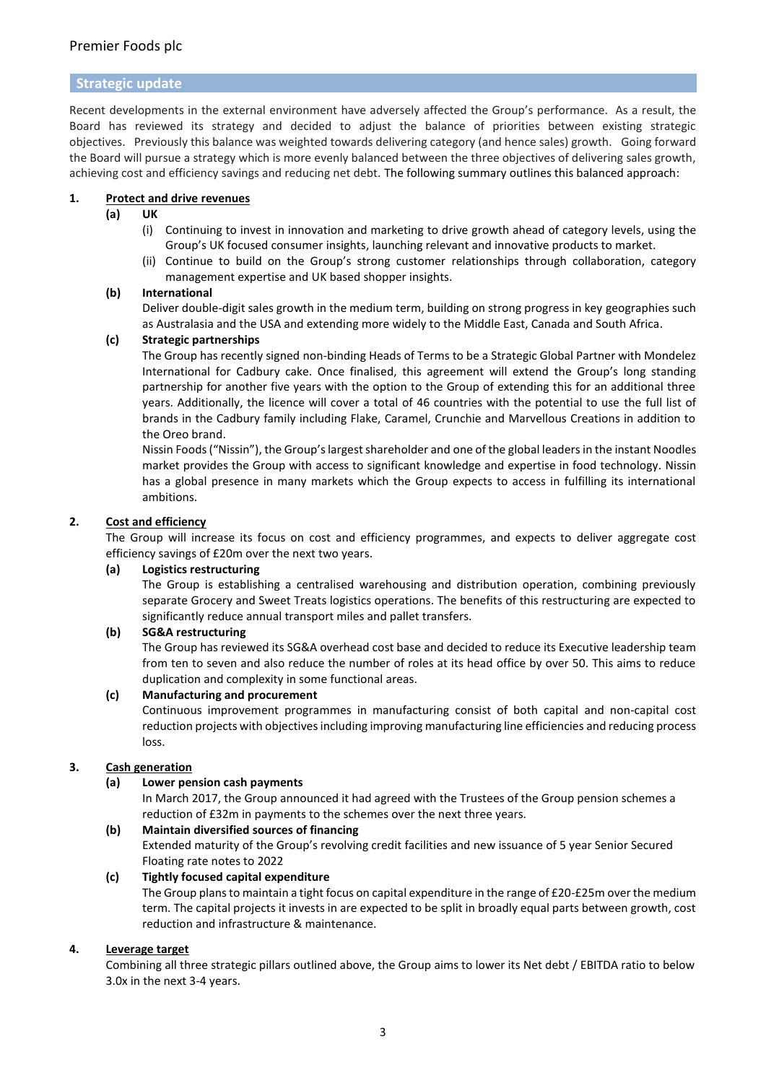### **Strategic update**

Recent developments in the external environment have adversely affected the Group's performance. As a result, the Board has reviewed its strategy and decided to adjust the balance of priorities between existing strategic objectives. Previously this balance was weighted towards delivering category (and hence sales) growth. Going forward the Board will pursue a strategy which is more evenly balanced between the three objectives of delivering sales growth, achieving cost and efficiency savings and reducing net debt. The following summary outlines this balanced approach:

#### **1. Protect and drive revenues**

#### **(a) UK**

- (i) Continuing to invest in innovation and marketing to drive growth ahead of category levels, using the Group's UK focused consumer insights, launching relevant and innovative products to market.
- (ii) Continue to build on the Group's strong customer relationships through collaboration, category management expertise and UK based shopper insights.

#### **(b) International**

Deliver double-digit sales growth in the medium term, building on strong progress in key geographies such as Australasia and the USA and extending more widely to the Middle East, Canada and South Africa.

#### **(c) Strategic partnerships**

The Group has recently signed non-binding Heads of Terms to be a Strategic Global Partner with Mondelez International for Cadbury cake. Once finalised, this agreement will extend the Group's long standing partnership for another five years with the option to the Group of extending this for an additional three years. Additionally, the licence will cover a total of 46 countries with the potential to use the full list of brands in the Cadbury family including Flake, Caramel, Crunchie and Marvellous Creations in addition to the Oreo brand.

Nissin Foods ("Nissin"), the Group's largest shareholder and one of the global leadersin the instant Noodles market provides the Group with access to significant knowledge and expertise in food technology. Nissin has a global presence in many markets which the Group expects to access in fulfilling its international ambitions.

#### **2. Cost and efficiency**

The Group will increase its focus on cost and efficiency programmes, and expects to deliver aggregate cost efficiency savings of £20m over the next two years.

#### **(a) Logistics restructuring**

The Group is establishing a centralised warehousing and distribution operation, combining previously separate Grocery and Sweet Treats logistics operations. The benefits of this restructuring are expected to significantly reduce annual transport miles and pallet transfers.

#### **(b) SG&A restructuring**

The Group has reviewed its SG&A overhead cost base and decided to reduce its Executive leadership team from ten to seven and also reduce the number of roles at its head office by over 50. This aims to reduce duplication and complexity in some functional areas.

#### **(c) Manufacturing and procurement**

Continuous improvement programmes in manufacturing consist of both capital and non-capital cost reduction projects with objectives including improving manufacturing line efficiencies and reducing process loss.

### **3. Cash generation**

#### **(a) Lower pension cash payments**

In March 2017, the Group announced it had agreed with the Trustees of the Group pension schemes a reduction of £32m in payments to the schemes over the next three years.

#### **(b) Maintain diversified sources of financing**

Extended maturity of the Group's revolving credit facilities and new issuance of 5 year Senior Secured Floating rate notes to 2022

#### **(c) Tightly focused capital expenditure**

The Group plans to maintain a tight focus on capital expenditure in the range of £20-£25m over the medium term. The capital projects it invests in are expected to be split in broadly equal parts between growth, cost reduction and infrastructure & maintenance.

### **4. Leverage target**

Combining all three strategic pillars outlined above, the Group aims to lower its Net debt / EBITDA ratio to below 3.0x in the next 3-4 years.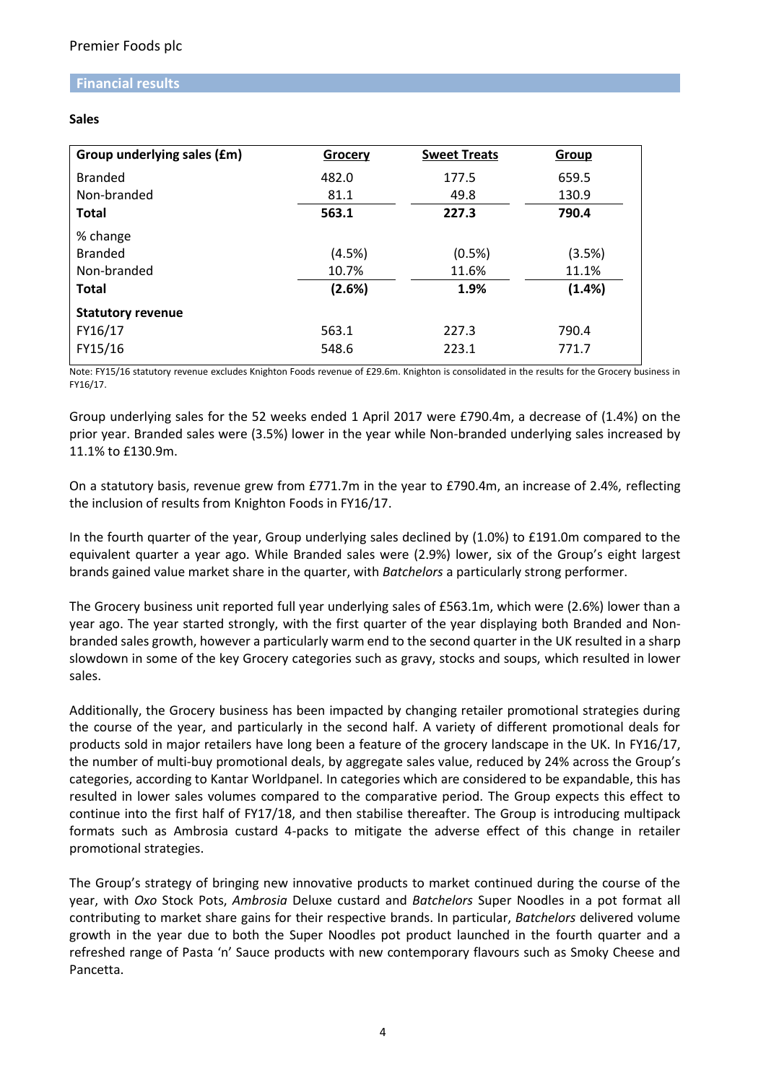# **Financial results**

# **Sales**

| Group underlying sales (£m) | Grocery | <b>Sweet Treats</b> | Group  |
|-----------------------------|---------|---------------------|--------|
| <b>Branded</b>              | 482.0   | 177.5               | 659.5  |
| Non-branded                 | 81.1    | 49.8                | 130.9  |
| <b>Total</b>                | 563.1   | 227.3               | 790.4  |
| % change                    |         |                     |        |
| <b>Branded</b>              | (4.5%)  | (0.5%)              | (3.5%) |
| Non-branded                 | 10.7%   | 11.6%               | 11.1%  |
| <b>Total</b>                | (2.6%)  | 1.9%                | (1.4%) |
| <b>Statutory revenue</b>    |         |                     |        |
| FY16/17                     | 563.1   | 227.3               | 790.4  |
| FY15/16                     | 548.6   | 223.1               | 771.7  |

Note: FY15/16 statutory revenue excludes Knighton Foods revenue of £29.6m. Knighton is consolidated in the results for the Grocery business in FY16/17.

Group underlying sales for the 52 weeks ended 1 April 2017 were £790.4m, a decrease of (1.4%) on the prior year. Branded sales were (3.5%) lower in the year while Non-branded underlying sales increased by 11.1% to £130.9m.

On a statutory basis, revenue grew from £771.7m in the year to £790.4m, an increase of 2.4%, reflecting the inclusion of results from Knighton Foods in FY16/17.

In the fourth quarter of the year, Group underlying sales declined by (1.0%) to £191.0m compared to the equivalent quarter a year ago. While Branded sales were (2.9%) lower, six of the Group's eight largest brands gained value market share in the quarter, with *Batchelors* a particularly strong performer.

The Grocery business unit reported full year underlying sales of £563.1m, which were (2.6%) lower than a year ago. The year started strongly, with the first quarter of the year displaying both Branded and Nonbranded sales growth, however a particularly warm end to the second quarter in the UK resulted in a sharp slowdown in some of the key Grocery categories such as gravy, stocks and soups, which resulted in lower sales.

Additionally, the Grocery business has been impacted by changing retailer promotional strategies during the course of the year, and particularly in the second half. A variety of different promotional deals for products sold in major retailers have long been a feature of the grocery landscape in the UK. In FY16/17, the number of multi-buy promotional deals, by aggregate sales value, reduced by 24% across the Group's categories, according to Kantar Worldpanel. In categories which are considered to be expandable, this has resulted in lower sales volumes compared to the comparative period. The Group expects this effect to continue into the first half of FY17/18, and then stabilise thereafter. The Group is introducing multipack formats such as Ambrosia custard 4-packs to mitigate the adverse effect of this change in retailer promotional strategies.

The Group's strategy of bringing new innovative products to market continued during the course of the year, with *Oxo* Stock Pots, *Ambrosia* Deluxe custard and *Batchelors* Super Noodles in a pot format all contributing to market share gains for their respective brands. In particular, *Batchelors* delivered volume growth in the year due to both the Super Noodles pot product launched in the fourth quarter and a refreshed range of Pasta 'n' Sauce products with new contemporary flavours such as Smoky Cheese and Pancetta.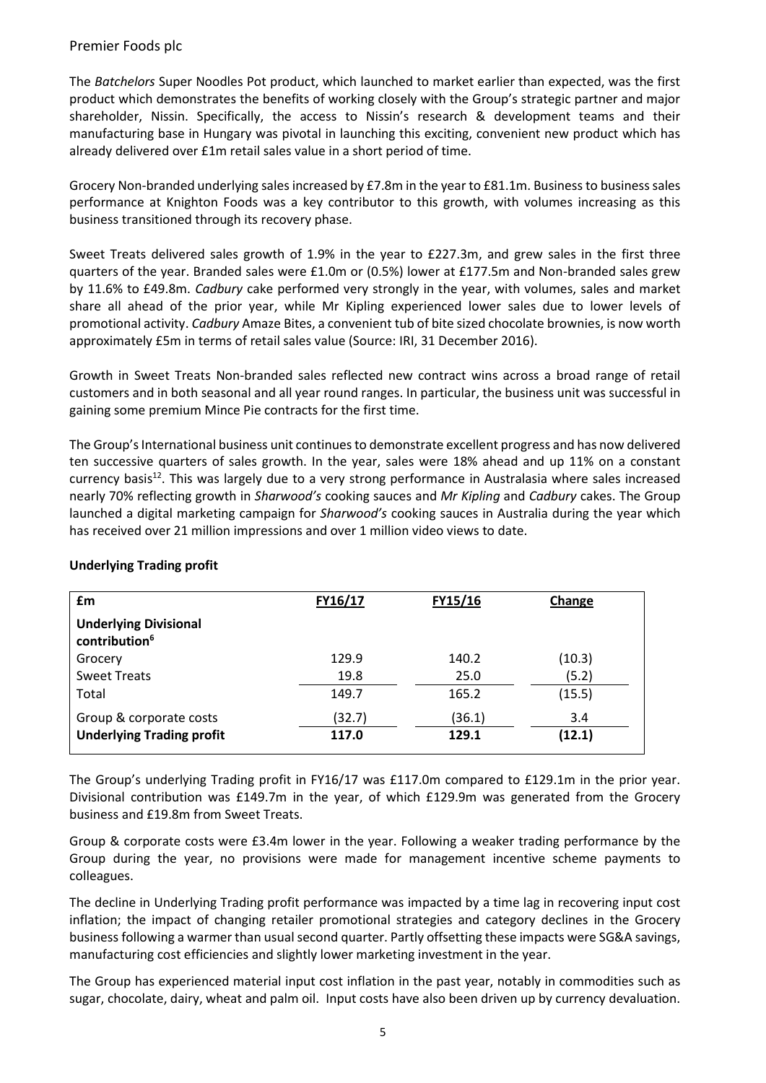The *Batchelors* Super Noodles Pot product, which launched to market earlier than expected, was the first product which demonstrates the benefits of working closely with the Group's strategic partner and major shareholder, Nissin. Specifically, the access to Nissin's research & development teams and their manufacturing base in Hungary was pivotal in launching this exciting, convenient new product which has already delivered over £1m retail sales value in a short period of time.

Grocery Non-branded underlying sales increased by £7.8m in the year to £81.1m. Business to business sales performance at Knighton Foods was a key contributor to this growth, with volumes increasing as this business transitioned through its recovery phase.

Sweet Treats delivered sales growth of 1.9% in the year to £227.3m, and grew sales in the first three quarters of the year. Branded sales were £1.0m or (0.5%) lower at £177.5m and Non-branded sales grew by 11.6% to £49.8m. *Cadbury* cake performed very strongly in the year, with volumes, sales and market share all ahead of the prior year, while Mr Kipling experienced lower sales due to lower levels of promotional activity. *Cadbury* Amaze Bites, a convenient tub of bite sized chocolate brownies, is now worth approximately £5m in terms of retail sales value (Source: IRI, 31 December 2016).

Growth in Sweet Treats Non-branded sales reflected new contract wins across a broad range of retail customers and in both seasonal and all year round ranges. In particular, the business unit was successful in gaining some premium Mince Pie contracts for the first time.

The Group's International business unit continues to demonstrate excellent progress and has now delivered ten successive quarters of sales growth. In the year, sales were 18% ahead and up 11% on a constant currency basis<sup>12</sup>. This was largely due to a very strong performance in Australasia where sales increased nearly 70% reflecting growth in *Sharwood's* cooking sauces and *Mr Kipling* and *Cadbury* cakes. The Group launched a digital marketing campaign for *Sharwood's* cooking sauces in Australia during the year which has received over 21 million impressions and over 1 million video views to date.

| £m                                                        | FY16/17 | FY15/16 | Change |
|-----------------------------------------------------------|---------|---------|--------|
| <b>Underlying Divisional</b><br>contribution <sup>6</sup> |         |         |        |
| Grocery                                                   | 129.9   | 140.2   | (10.3) |
| <b>Sweet Treats</b>                                       | 19.8    | 25.0    | (5.2)  |
| Total                                                     | 149.7   | 165.2   | (15.5) |
| Group & corporate costs                                   | (32.7)  | (36.1)  | 3.4    |
| <b>Underlying Trading profit</b>                          | 117.0   | 129.1   | (12.1) |
|                                                           |         |         |        |

# **Underlying Trading profit**

The Group's underlying Trading profit in FY16/17 was £117.0m compared to £129.1m in the prior year. Divisional contribution was £149.7m in the year, of which £129.9m was generated from the Grocery business and £19.8m from Sweet Treats.

Group & corporate costs were £3.4m lower in the year. Following a weaker trading performance by the Group during the year, no provisions were made for management incentive scheme payments to colleagues.

The decline in Underlying Trading profit performance was impacted by a time lag in recovering input cost inflation; the impact of changing retailer promotional strategies and category declines in the Grocery business following a warmer than usual second quarter. Partly offsetting these impacts were SG&A savings, manufacturing cost efficiencies and slightly lower marketing investment in the year.

The Group has experienced material input cost inflation in the past year, notably in commodities such as sugar, chocolate, dairy, wheat and palm oil. Input costs have also been driven up by currency devaluation.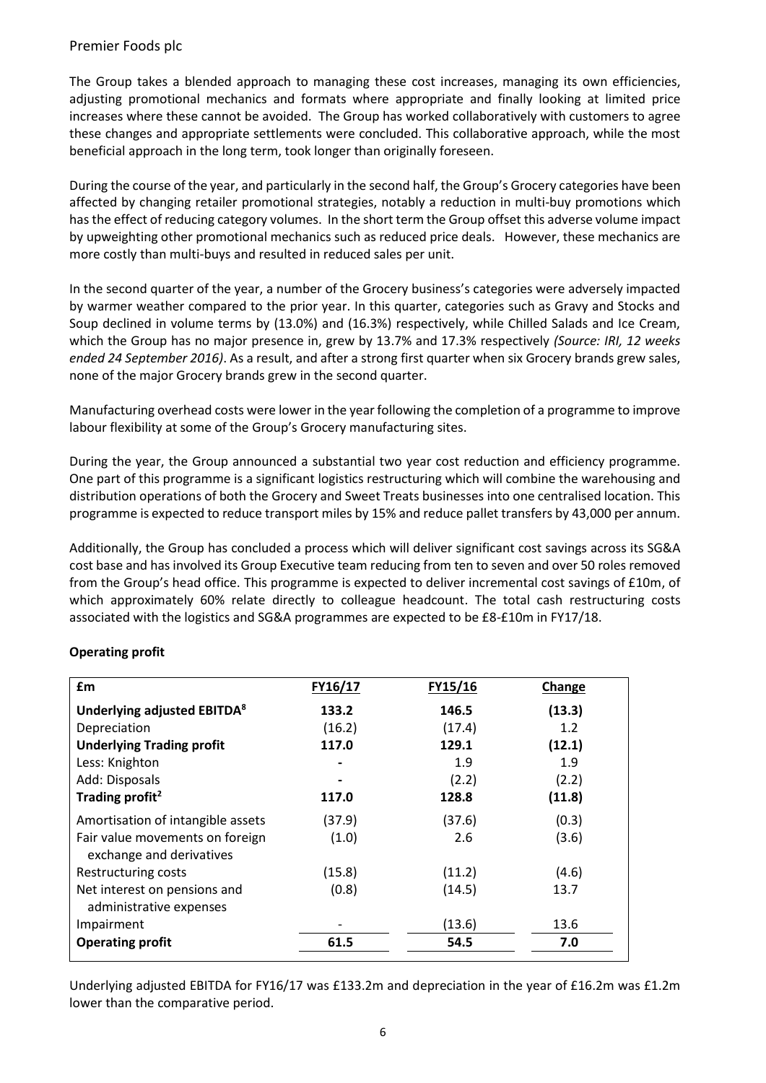The Group takes a blended approach to managing these cost increases, managing its own efficiencies, adjusting promotional mechanics and formats where appropriate and finally looking at limited price increases where these cannot be avoided. The Group has worked collaboratively with customers to agree these changes and appropriate settlements were concluded. This collaborative approach, while the most beneficial approach in the long term, took longer than originally foreseen.

During the course of the year, and particularly in the second half, the Group's Grocery categories have been affected by changing retailer promotional strategies, notably a reduction in multi-buy promotions which has the effect of reducing category volumes. In the short term the Group offset this adverse volume impact by upweighting other promotional mechanics such as reduced price deals. However, these mechanics are more costly than multi-buys and resulted in reduced sales per unit.

In the second quarter of the year, a number of the Grocery business's categories were adversely impacted by warmer weather compared to the prior year. In this quarter, categories such as Gravy and Stocks and Soup declined in volume terms by (13.0%) and (16.3%) respectively, while Chilled Salads and Ice Cream, which the Group has no major presence in, grew by 13.7% and 17.3% respectively *(Source: IRI, 12 weeks ended 24 September 2016)*. As a result, and after a strong first quarter when six Grocery brands grew sales, none of the major Grocery brands grew in the second quarter.

Manufacturing overhead costs were lower in the year following the completion of a programme to improve labour flexibility at some of the Group's Grocery manufacturing sites.

During the year, the Group announced a substantial two year cost reduction and efficiency programme. One part of this programme is a significant logistics restructuring which will combine the warehousing and distribution operations of both the Grocery and Sweet Treats businesses into one centralised location. This programme is expected to reduce transport miles by 15% and reduce pallet transfers by 43,000 per annum.

Additionally, the Group has concluded a process which will deliver significant cost savings across its SG&A cost base and has involved its Group Executive team reducing from ten to seven and over 50 roles removed from the Group's head office. This programme is expected to deliver incremental cost savings of £10m, of which approximately 60% relate directly to colleague headcount. The total cash restructuring costs associated with the logistics and SG&A programmes are expected to be £8-£10m in FY17/18.

| £m                                                          | FY16/17 | FY15/16 | Change |
|-------------------------------------------------------------|---------|---------|--------|
| Underlying adjusted EBITDA <sup>8</sup>                     | 133.2   | 146.5   | (13.3) |
| Depreciation                                                | (16.2)  | (17.4)  | 1.2    |
| <b>Underlying Trading profit</b>                            | 117.0   | 129.1   | (12.1) |
| Less: Knighton                                              |         | 1.9     | 1.9    |
| Add: Disposals                                              |         | (2.2)   | (2.2)  |
| Trading profit <sup>2</sup>                                 | 117.0   | 128.8   | (11.8) |
| Amortisation of intangible assets                           | (37.9)  | (37.6)  | (0.3)  |
| Fair value movements on foreign<br>exchange and derivatives | (1.0)   | 2.6     | (3.6)  |
| Restructuring costs                                         | (15.8)  | (11.2)  | (4.6)  |
| Net interest on pensions and<br>administrative expenses     | (0.8)   | (14.5)  | 13.7   |
| Impairment                                                  |         | (13.6)  | 13.6   |
| <b>Operating profit</b>                                     | 61.5    | 54.5    | 7.0    |

# **Operating profit**

Underlying adjusted EBITDA for FY16/17 was £133.2m and depreciation in the year of £16.2m was £1.2m lower than the comparative period.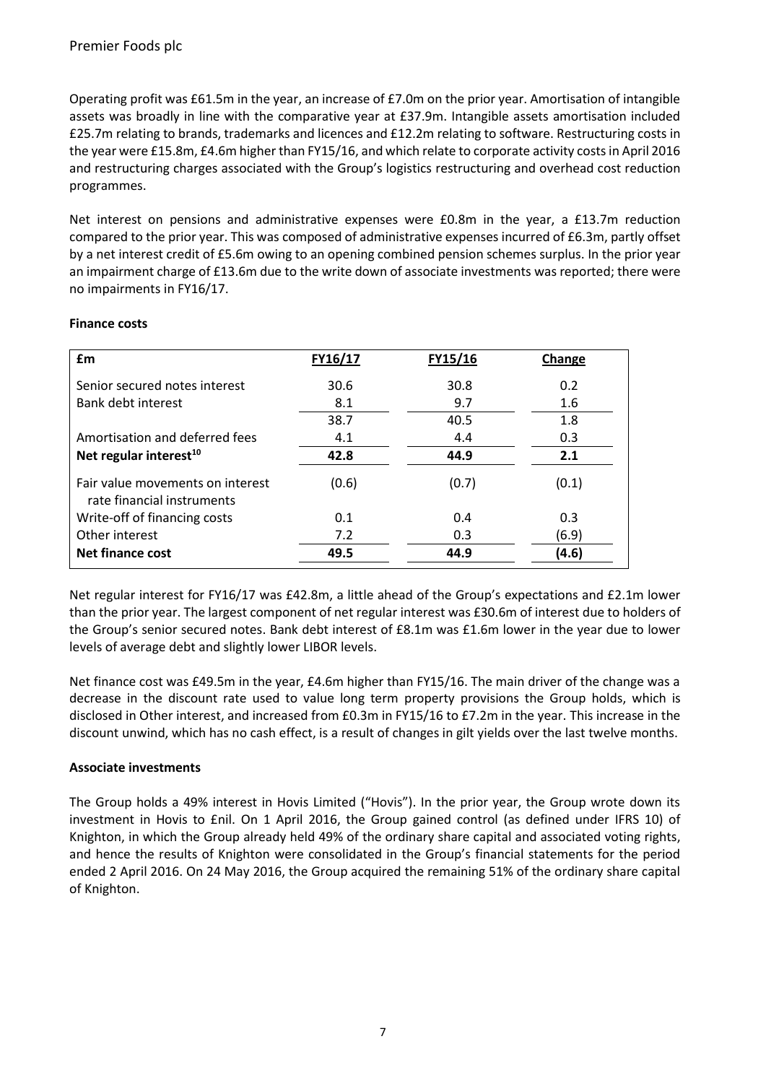Operating profit was £61.5m in the year, an increase of £7.0m on the prior year. Amortisation of intangible assets was broadly in line with the comparative year at £37.9m. Intangible assets amortisation included £25.7m relating to brands, trademarks and licences and £12.2m relating to software. Restructuring costs in the year were £15.8m, £4.6m higher than FY15/16, and which relate to corporate activity costs in April 2016 and restructuring charges associated with the Group's logistics restructuring and overhead cost reduction programmes.

Net interest on pensions and administrative expenses were £0.8m in the year, a £13.7m reduction compared to the prior year. This was composed of administrative expenses incurred of £6.3m, partly offset by a net interest credit of £5.6m owing to an opening combined pension schemes surplus. In the prior year an impairment charge of £13.6m due to the write down of associate investments was reported; there were no impairments in FY16/17.

| £m                                                             | FY16/17 | FY15/16 | Change |
|----------------------------------------------------------------|---------|---------|--------|
| Senior secured notes interest                                  | 30.6    | 30.8    | 0.2    |
| Bank debt interest                                             | 8.1     | 9.7     | 1.6    |
|                                                                | 38.7    | 40.5    | 1.8    |
| Amortisation and deferred fees                                 | 4.1     | 4.4     | 0.3    |
| Net regular interest $^{10}$                                   | 42.8    | 44.9    | 2.1    |
| Fair value movements on interest<br>rate financial instruments | (0.6)   | (0.7)   | (0.1)  |
| Write-off of financing costs                                   | 0.1     | 0.4     | 0.3    |
| Other interest                                                 | 7.2     | 0.3     | (6.9)  |
| Net finance cost                                               | 49.5    | 44.9    | (4.6)  |

# **Finance costs**

Net regular interest for FY16/17 was £42.8m, a little ahead of the Group's expectations and £2.1m lower than the prior year. The largest component of net regular interest was £30.6m of interest due to holders of the Group's senior secured notes. Bank debt interest of £8.1m was £1.6m lower in the year due to lower levels of average debt and slightly lower LIBOR levels.

Net finance cost was £49.5m in the year, £4.6m higher than FY15/16. The main driver of the change was a decrease in the discount rate used to value long term property provisions the Group holds, which is disclosed in Other interest, and increased from £0.3m in FY15/16 to £7.2m in the year. This increase in the discount unwind, which has no cash effect, is a result of changes in gilt yields over the last twelve months.

# **Associate investments**

The Group holds a 49% interest in Hovis Limited ("Hovis"). In the prior year, the Group wrote down its investment in Hovis to £nil. On 1 April 2016, the Group gained control (as defined under IFRS 10) of Knighton, in which the Group already held 49% of the ordinary share capital and associated voting rights, and hence the results of Knighton were consolidated in the Group's financial statements for the period ended 2 April 2016. On 24 May 2016, the Group acquired the remaining 51% of the ordinary share capital of Knighton.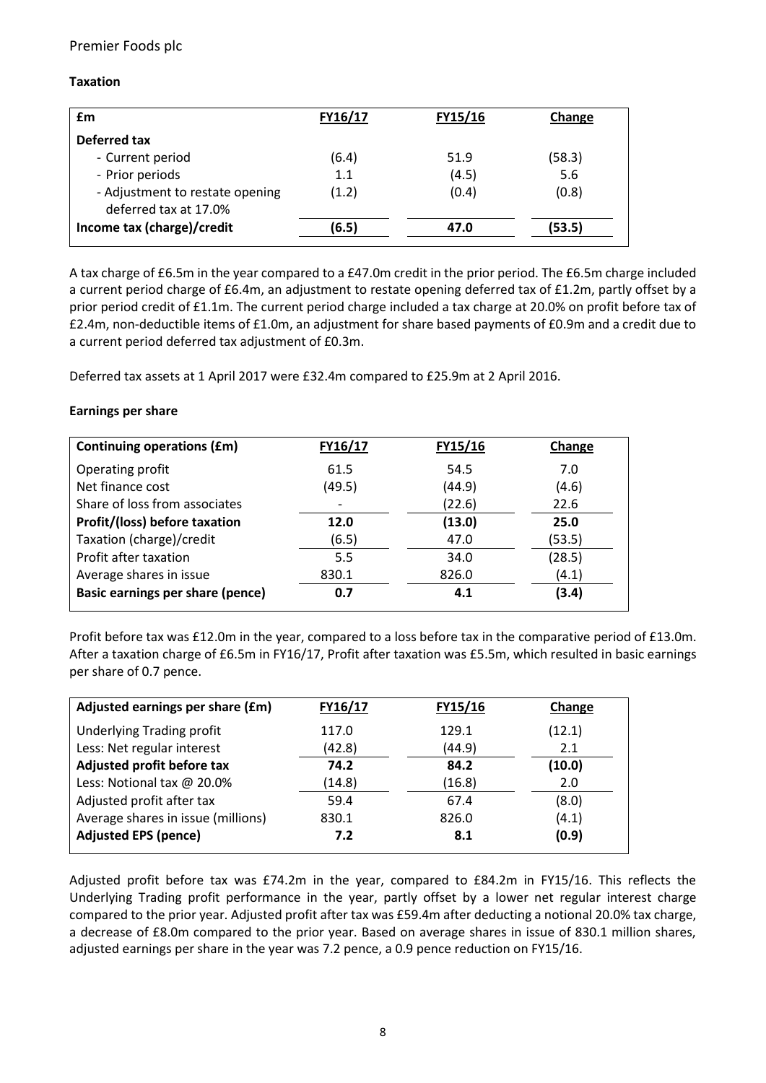# **Taxation**

| £m                                                       | FY16/17 | FY15/16 | Change |
|----------------------------------------------------------|---------|---------|--------|
| Deferred tax                                             |         |         |        |
| - Current period                                         | (6.4)   | 51.9    | (58.3) |
| - Prior periods                                          | 1.1     | (4.5)   | 5.6    |
| - Adjustment to restate opening<br>deferred tax at 17.0% | (1.2)   | (0.4)   | (0.8)  |
| Income tax (charge)/credit                               | (6.5)   | 47.0    | (53.5) |

A tax charge of £6.5m in the year compared to a £47.0m credit in the prior period. The £6.5m charge included a current period charge of £6.4m, an adjustment to restate opening deferred tax of £1.2m, partly offset by a prior period credit of £1.1m. The current period charge included a tax charge at 20.0% on profit before tax of £2.4m, non-deductible items of £1.0m, an adjustment for share based payments of £0.9m and a credit due to a current period deferred tax adjustment of £0.3m.

Deferred tax assets at 1 April 2017 were £32.4m compared to £25.9m at 2 April 2016.

# **Earnings per share**

| Continuing operations (£m)       | FY16/17 | FY15/16 | Change |
|----------------------------------|---------|---------|--------|
| Operating profit                 | 61.5    | 54.5    | 7.0    |
| Net finance cost                 | (49.5)  | (44.9)  | (4.6)  |
| Share of loss from associates    |         | (22.6)  | 22.6   |
| Profit/(loss) before taxation    | 12.0    | (13.0)  | 25.0   |
| Taxation (charge)/credit         | (6.5)   | 47.0    | (53.5) |
| Profit after taxation            | 5.5     | 34.0    | (28.5) |
| Average shares in issue          | 830.1   | 826.0   | (4.1)  |
| Basic earnings per share (pence) | 0.7     | 4.1     | (3.4)  |

Profit before tax was £12.0m in the year, compared to a loss before tax in the comparative period of £13.0m. After a taxation charge of £6.5m in FY16/17, Profit after taxation was £5.5m, which resulted in basic earnings per share of 0.7 pence.

| Adjusted earnings per share (£m)   | FY16/17 | FY15/16 | Change |
|------------------------------------|---------|---------|--------|
| <b>Underlying Trading profit</b>   | 117.0   | 129.1   | (12.1) |
| Less: Net regular interest         | (42.8)  | (44.9)  | 2.1    |
| Adjusted profit before tax         | 74.2    | 84.2    | (10.0) |
| Less: Notional tax @ 20.0%         | (14.8)  | (16.8)  | 2.0    |
| Adjusted profit after tax          | 59.4    | 67.4    | (8.0)  |
| Average shares in issue (millions) | 830.1   | 826.0   | (4.1)  |
| <b>Adjusted EPS (pence)</b>        | 7.2     | 8.1     | (0.9)  |

Adjusted profit before tax was £74.2m in the year, compared to £84.2m in FY15/16. This reflects the Underlying Trading profit performance in the year, partly offset by a lower net regular interest charge compared to the prior year. Adjusted profit after tax was £59.4m after deducting a notional 20.0% tax charge, a decrease of £8.0m compared to the prior year. Based on average shares in issue of 830.1 million shares, adjusted earnings per share in the year was 7.2 pence, a 0.9 pence reduction on FY15/16.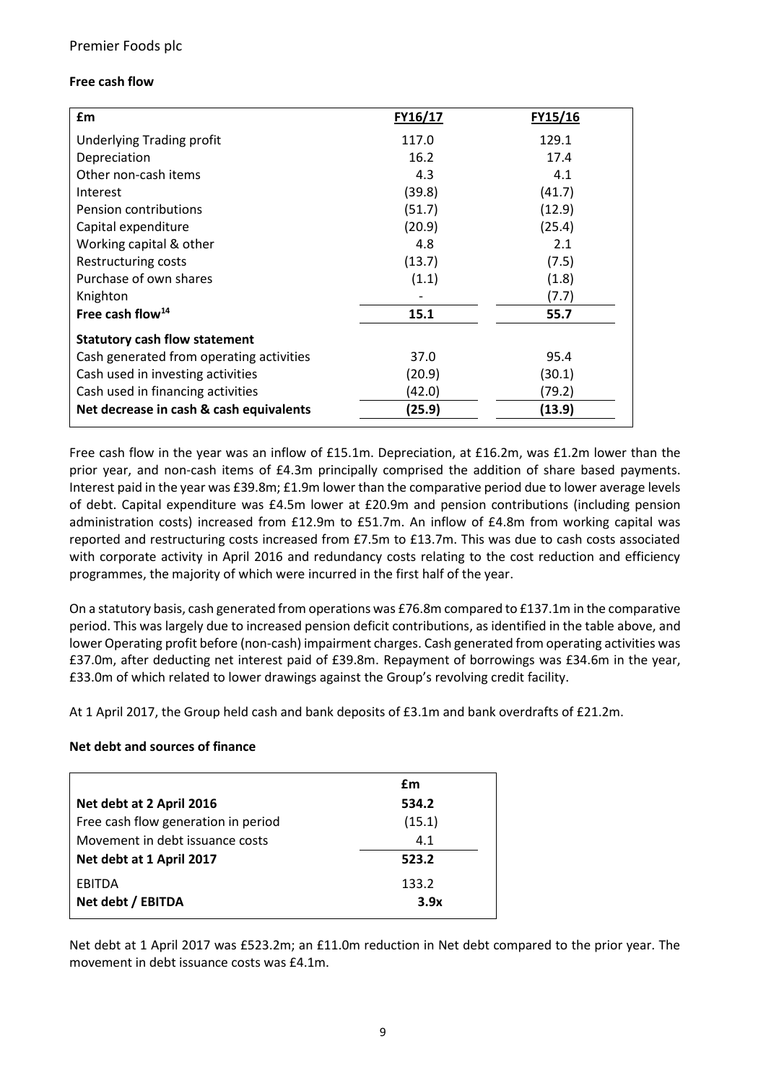# **Free cash flow**

| £m                                       | FY16/17 | FY15/16 |
|------------------------------------------|---------|---------|
| Underlying Trading profit                | 117.0   | 129.1   |
| Depreciation                             | 16.2    | 17.4    |
| Other non-cash items                     | 4.3     | 4.1     |
| Interest                                 | (39.8)  | (41.7)  |
| Pension contributions                    | (51.7)  | (12.9)  |
| Capital expenditure                      | (20.9)  | (25.4)  |
| Working capital & other                  | 4.8     | 2.1     |
| Restructuring costs                      | (13.7)  | (7.5)   |
| Purchase of own shares                   | (1.1)   | (1.8)   |
| Knighton                                 |         | (7.7)   |
| Free cash flow $14$                      | 15.1    | 55.7    |
| <b>Statutory cash flow statement</b>     |         |         |
| Cash generated from operating activities | 37.0    | 95.4    |
| Cash used in investing activities        | (20.9)  | (30.1)  |
| Cash used in financing activities        | (42.0)  | (79.2)  |
| Net decrease in cash & cash equivalents  | (25.9)  | (13.9)  |

Free cash flow in the year was an inflow of £15.1m. Depreciation, at £16.2m, was £1.2m lower than the prior year, and non-cash items of £4.3m principally comprised the addition of share based payments. Interest paid in the year was £39.8m; £1.9m lower than the comparative period due to lower average levels of debt. Capital expenditure was £4.5m lower at £20.9m and pension contributions (including pension administration costs) increased from £12.9m to £51.7m. An inflow of £4.8m from working capital was reported and restructuring costs increased from £7.5m to £13.7m. This was due to cash costs associated with corporate activity in April 2016 and redundancy costs relating to the cost reduction and efficiency programmes, the majority of which were incurred in the first half of the year.

On a statutory basis, cash generated from operations was £76.8m compared to £137.1m in the comparative period. This was largely due to increased pension deficit contributions, as identified in the table above, and lower Operating profit before (non-cash) impairment charges. Cash generated from operating activities was £37.0m, after deducting net interest paid of £39.8m. Repayment of borrowings was £34.6m in the year, £33.0m of which related to lower drawings against the Group's revolving credit facility.

At 1 April 2017, the Group held cash and bank deposits of £3.1m and bank overdrafts of £21.2m.

# **Net debt and sources of finance**

|                                     | £m     |
|-------------------------------------|--------|
| Net debt at 2 April 2016            | 534.2  |
| Free cash flow generation in period | (15.1) |
| Movement in debt issuance costs     | 4.1    |
| Net debt at 1 April 2017            | 523.2  |
| EBITDA                              | 133.2  |
| Net debt / EBITDA                   | 3.9x   |

Net debt at 1 April 2017 was £523.2m; an £11.0m reduction in Net debt compared to the prior year. The movement in debt issuance costs was £4.1m.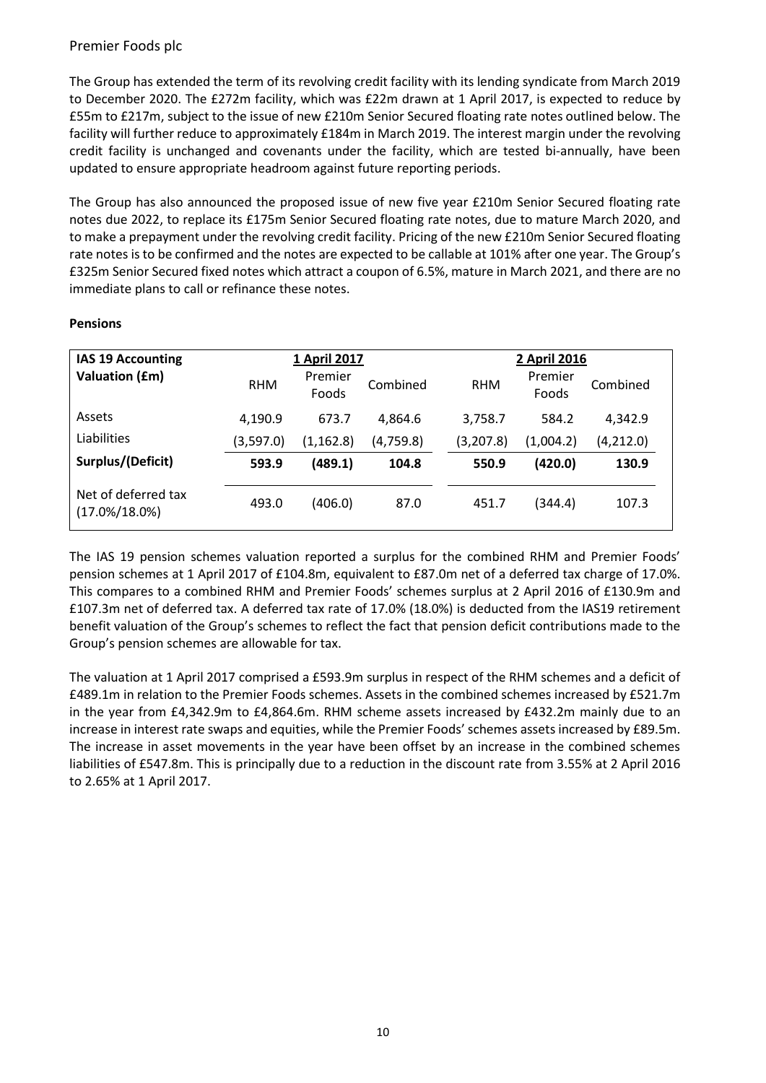The Group has extended the term of its revolving credit facility with its lending syndicate from March 2019 to December 2020. The £272m facility, which was £22m drawn at 1 April 2017, is expected to reduce by £55m to £217m, subject to the issue of new £210m Senior Secured floating rate notes outlined below. The facility will further reduce to approximately £184m in March 2019. The interest margin under the revolving credit facility is unchanged and covenants under the facility, which are tested bi-annually, have been updated to ensure appropriate headroom against future reporting periods.

The Group has also announced the proposed issue of new five year £210m Senior Secured floating rate notes due 2022, to replace its £175m Senior Secured floating rate notes, due to mature March 2020, and to make a prepayment under the revolving credit facility. Pricing of the new £210m Senior Secured floating rate notes is to be confirmed and the notes are expected to be callable at 101% after one year. The Group's £325m Senior Secured fixed notes which attract a coupon of 6.5%, mature in March 2021, and there are no immediate plans to call or refinance these notes.

# **Pensions**

| <b>IAS 19 Accounting</b>                 | 1 April 2017 |                  |            |  | 2 April 2016 |                  |            |  |
|------------------------------------------|--------------|------------------|------------|--|--------------|------------------|------------|--|
| <b>Valuation (£m)</b>                    | <b>RHM</b>   | Premier<br>Foods | Combined   |  | <b>RHM</b>   | Premier<br>Foods | Combined   |  |
| Assets                                   | 4,190.9      | 673.7            | 4,864.6    |  | 3,758.7      | 584.2            | 4,342.9    |  |
| Liabilities                              | (3,597.0)    | (1, 162.8)       | (4, 759.8) |  | (3,207.8)    | (1,004.2)        | (4, 212.0) |  |
| Surplus/(Deficit)                        | 593.9        | (489.1)          | 104.8      |  | 550.9        | (420.0)          | 130.9      |  |
| Net of deferred tax<br>$(17.0\%/18.0\%)$ | 493.0        | (406.0)          | 87.0       |  | 451.7        | (344.4)          | 107.3      |  |

The IAS 19 pension schemes valuation reported a surplus for the combined RHM and Premier Foods' pension schemes at 1 April 2017 of £104.8m, equivalent to £87.0m net of a deferred tax charge of 17.0%. This compares to a combined RHM and Premier Foods' schemes surplus at 2 April 2016 of £130.9m and £107.3m net of deferred tax. A deferred tax rate of 17.0% (18.0%) is deducted from the IAS19 retirement benefit valuation of the Group's schemes to reflect the fact that pension deficit contributions made to the Group's pension schemes are allowable for tax.

The valuation at 1 April 2017 comprised a £593.9m surplus in respect of the RHM schemes and a deficit of £489.1m in relation to the Premier Foods schemes. Assets in the combined schemes increased by £521.7m in the year from £4,342.9m to £4,864.6m. RHM scheme assets increased by £432.2m mainly due to an increase in interest rate swaps and equities, while the Premier Foods' schemes assets increased by £89.5m. The increase in asset movements in the year have been offset by an increase in the combined schemes liabilities of £547.8m. This is principally due to a reduction in the discount rate from 3.55% at 2 April 2016 to 2.65% at 1 April 2017.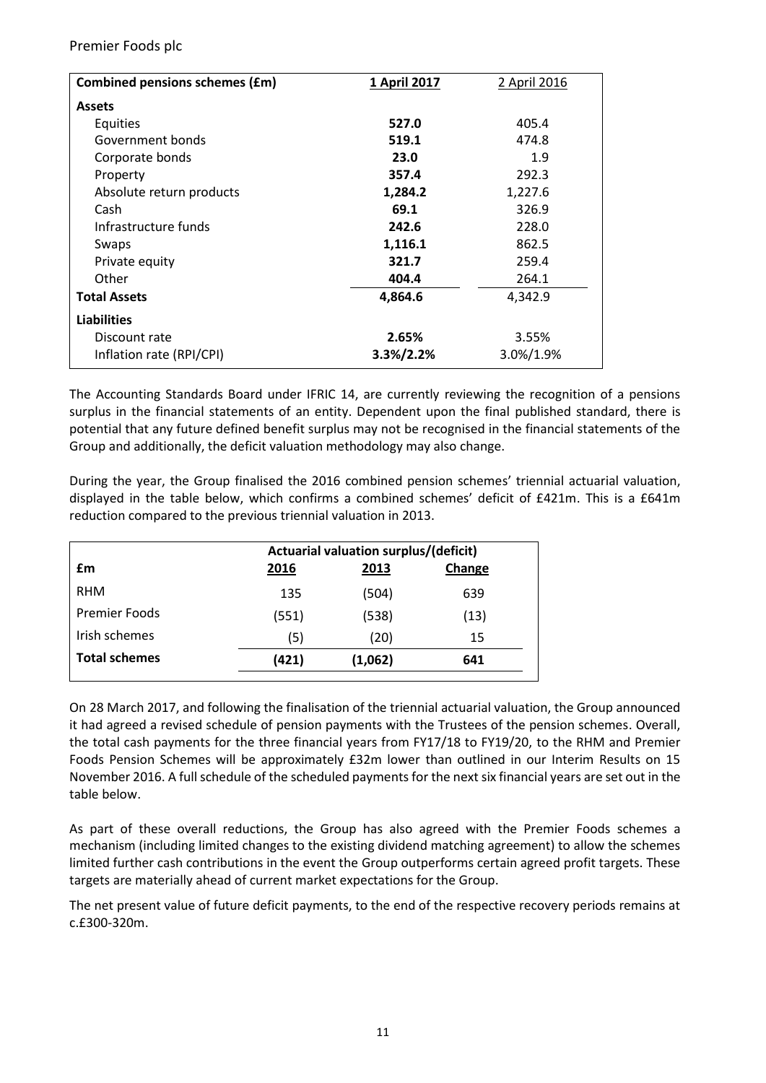| Combined pensions schemes (£m) | 1 April 2017 | 2 April 2016 |
|--------------------------------|--------------|--------------|
| <b>Assets</b>                  |              |              |
| Equities                       | 527.0        | 405.4        |
| Government bonds               | 519.1        | 474.8        |
| Corporate bonds                | 23.0         | 1.9          |
| Property                       | 357.4        | 292.3        |
| Absolute return products       | 1,284.2      | 1,227.6      |
| Cash                           | 69.1         | 326.9        |
| Infrastructure funds           | 242.6        | 228.0        |
| Swaps                          | 1,116.1      | 862.5        |
| Private equity                 | 321.7        | 259.4        |
| Other                          | 404.4        | 264.1        |
| <b>Total Assets</b>            | 4,864.6      | 4,342.9      |
| <b>Liabilities</b>             |              |              |
| Discount rate                  | 2.65%        | 3.55%        |
| Inflation rate (RPI/CPI)       | 3.3%/2.2%    | 3.0%/1.9%    |

The Accounting Standards Board under IFRIC 14, are currently reviewing the recognition of a pensions surplus in the financial statements of an entity. Dependent upon the final published standard, there is potential that any future defined benefit surplus may not be recognised in the financial statements of the Group and additionally, the deficit valuation methodology may also change.

During the year, the Group finalised the 2016 combined pension schemes' triennial actuarial valuation, displayed in the table below, which confirms a combined schemes' deficit of £421m. This is a £641m reduction compared to the previous triennial valuation in 2013.

|                      |       | Actuarial valuation surplus/(deficit) |        |  |  |  |  |  |
|----------------------|-------|---------------------------------------|--------|--|--|--|--|--|
| £m                   | 2016  | 2013                                  | Change |  |  |  |  |  |
| <b>RHM</b>           | 135   | (504)                                 | 639    |  |  |  |  |  |
| <b>Premier Foods</b> | (551) | (538)                                 | (13)   |  |  |  |  |  |
| Irish schemes        | (5)   | (20)                                  | 15     |  |  |  |  |  |
| <b>Total schemes</b> | (421) | (1,062)                               | 641    |  |  |  |  |  |
|                      |       |                                       |        |  |  |  |  |  |

On 28 March 2017, and following the finalisation of the triennial actuarial valuation, the Group announced it had agreed a revised schedule of pension payments with the Trustees of the pension schemes. Overall, the total cash payments for the three financial years from FY17/18 to FY19/20, to the RHM and Premier Foods Pension Schemes will be approximately £32m lower than outlined in our Interim Results on 15 November 2016. A full schedule of the scheduled payments for the next six financial years are set out in the table below.

As part of these overall reductions, the Group has also agreed with the Premier Foods schemes a mechanism (including limited changes to the existing dividend matching agreement) to allow the schemes limited further cash contributions in the event the Group outperforms certain agreed profit targets. These targets are materially ahead of current market expectations for the Group.

The net present value of future deficit payments, to the end of the respective recovery periods remains at c.£300-320m.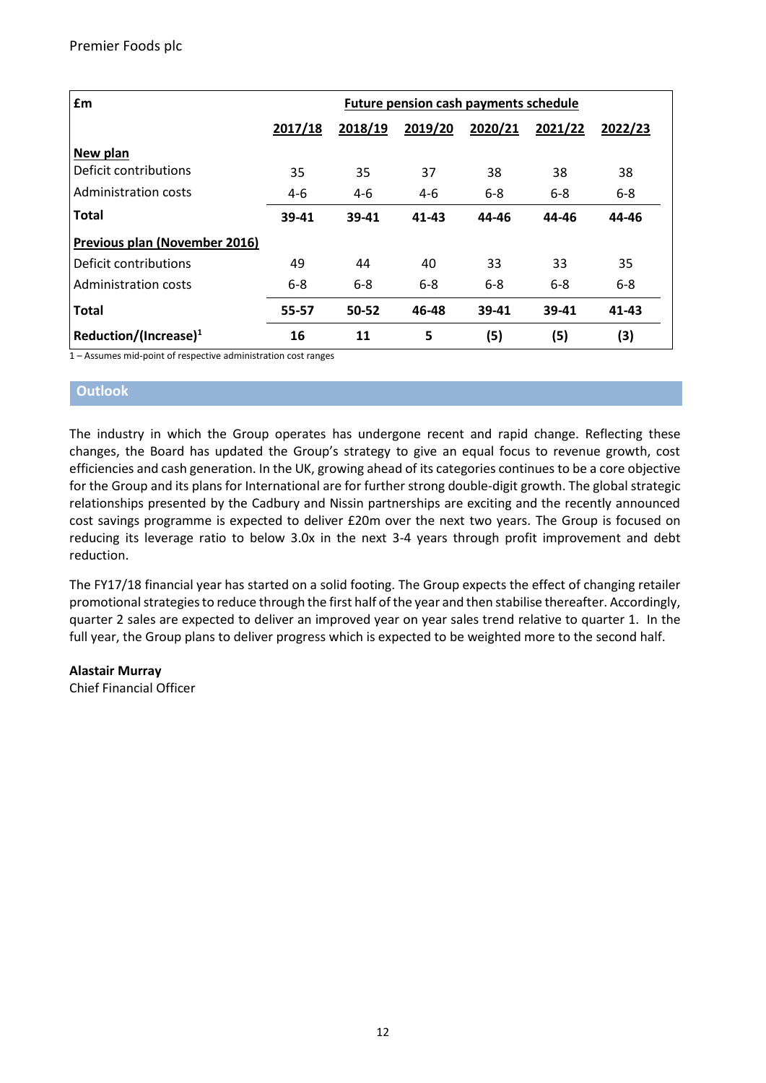| £m                            |         | <b>Future pension cash payments schedule</b> |         |         |         |         |  |  |
|-------------------------------|---------|----------------------------------------------|---------|---------|---------|---------|--|--|
|                               | 2017/18 | 2018/19                                      | 2019/20 | 2020/21 | 2021/22 | 2022/23 |  |  |
| New plan                      |         |                                              |         |         |         |         |  |  |
| Deficit contributions         | 35      | 35                                           | 37      | 38      | 38      | 38      |  |  |
| Administration costs          | $4-6$   | $4-6$                                        | $4-6$   | $6 - 8$ | $6 - 8$ | $6 - 8$ |  |  |
| <b>Total</b>                  | 39-41   | 39-41                                        | 41-43   | 44-46   | 44-46   | 44-46   |  |  |
| Previous plan (November 2016) |         |                                              |         |         |         |         |  |  |
| Deficit contributions         | 49      | 44                                           | 40      | 33      | 33      | 35      |  |  |
| Administration costs          | $6 - 8$ | $6 - 8$                                      | $6 - 8$ | $6 - 8$ | $6 - 8$ | $6 - 8$ |  |  |
| <b>Total</b>                  | 55-57   | $50 - 52$                                    | 46-48   | 39-41   | 39-41   | 41-43   |  |  |
| $Reduction/(Increase)^1$      | 16      | 11                                           | 5       | (5)     | (5)     | (3)     |  |  |

1 – Assumes mid-point of respective administration cost ranges

# **Outlook**

The industry in which the Group operates has undergone recent and rapid change. Reflecting these changes, the Board has updated the Group's strategy to give an equal focus to revenue growth, cost efficiencies and cash generation. In the UK, growing ahead of its categories continues to be a core objective for the Group and its plans for International are for further strong double-digit growth. The global strategic relationships presented by the Cadbury and Nissin partnerships are exciting and the recently announced cost savings programme is expected to deliver £20m over the next two years. The Group is focused on reducing its leverage ratio to below 3.0x in the next 3-4 years through profit improvement and debt reduction.

The FY17/18 financial year has started on a solid footing. The Group expects the effect of changing retailer promotional strategies to reduce through the first half of the year and then stabilise thereafter. Accordingly, quarter 2 sales are expected to deliver an improved year on year sales trend relative to quarter 1. In the full year, the Group plans to deliver progress which is expected to be weighted more to the second half.

**Alastair Murray**

Chief Financial Officer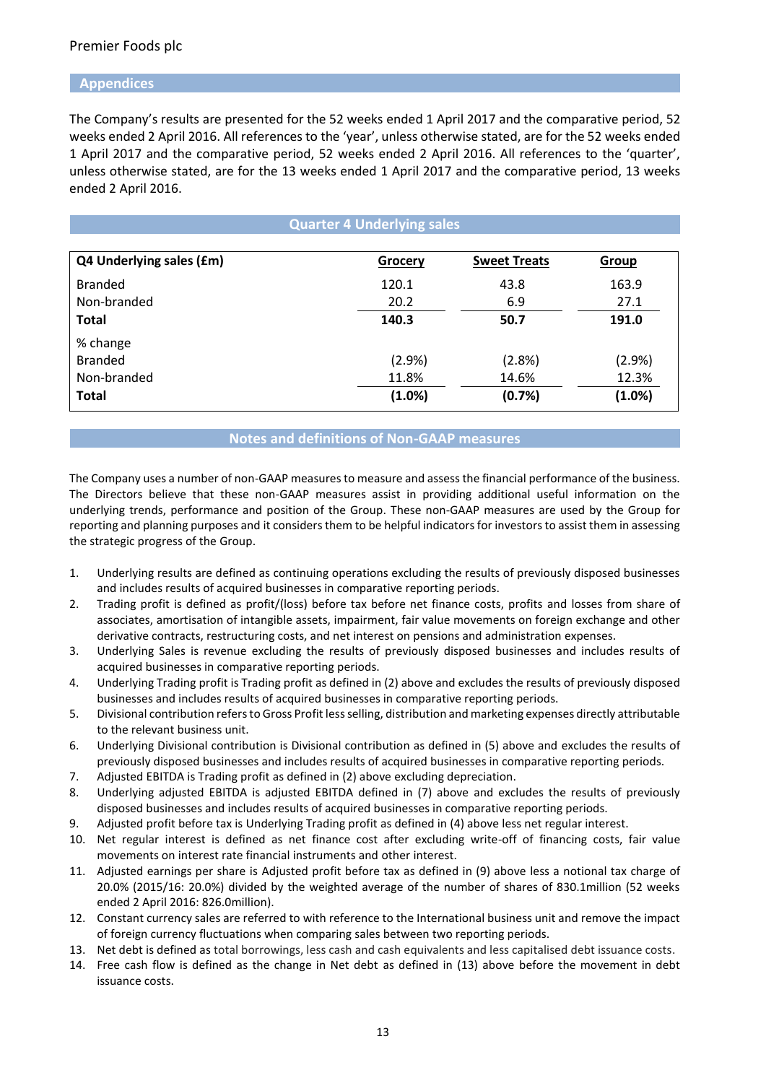### **Appendices**

The Company's results are presented for the 52 weeks ended 1 April 2017 and the comparative period, 52 weeks ended 2 April 2016. All references to the 'year', unless otherwise stated, are for the 52 weeks ended 1 April 2017 and the comparative period, 52 weeks ended 2 April 2016. All references to the 'quarter', unless otherwise stated, are for the 13 weeks ended 1 April 2017 and the comparative period, 13 weeks ended 2 April 2016.

| <b>Quarter 4 Underlying sales</b> |         |                     |        |  |  |  |
|-----------------------------------|---------|---------------------|--------|--|--|--|
| Q4 Underlying sales (£m)          |         | <b>Sweet Treats</b> |        |  |  |  |
|                                   | Grocery |                     | Group  |  |  |  |
| <b>Branded</b>                    | 120.1   | 43.8                | 163.9  |  |  |  |
| Non-branded                       | 20.2    | 6.9                 | 27.1   |  |  |  |
| <b>Total</b>                      | 140.3   | 50.7                | 191.0  |  |  |  |
| % change                          |         |                     |        |  |  |  |
| <b>Branded</b>                    | (2.9%)  | (2.8%)              | (2.9%) |  |  |  |
| Non-branded                       | 11.8%   | 14.6%               | 12.3%  |  |  |  |
| <b>Total</b>                      | (1.0%)  | (0.7%)              | (1.0%) |  |  |  |

#### **Notes and definitions of Non-GAAP measures**

The Company uses a number of non-GAAP measures to measure and assess the financial performance of the business. The Directors believe that these non-GAAP measures assist in providing additional useful information on the underlying trends, performance and position of the Group. These non-GAAP measures are used by the Group for reporting and planning purposes and it considers them to be helpful indicators for investors to assist them in assessing the strategic progress of the Group.

- 1. Underlying results are defined as continuing operations excluding the results of previously disposed businesses and includes results of acquired businesses in comparative reporting periods.
- 2. Trading profit is defined as profit/(loss) before tax before net finance costs, profits and losses from share of associates, amortisation of intangible assets, impairment, fair value movements on foreign exchange and other derivative contracts, restructuring costs, and net interest on pensions and administration expenses.
- 3. Underlying Sales is revenue excluding the results of previously disposed businesses and includes results of acquired businesses in comparative reporting periods.
- 4. Underlying Trading profit is Trading profit as defined in (2) above and excludes the results of previously disposed businesses and includes results of acquired businesses in comparative reporting periods.
- 5. Divisional contribution refers to Gross Profit less selling, distribution and marketing expenses directly attributable to the relevant business unit.
- 6. Underlying Divisional contribution is Divisional contribution as defined in (5) above and excludes the results of previously disposed businesses and includes results of acquired businesses in comparative reporting periods.
- 7. Adjusted EBITDA is Trading profit as defined in (2) above excluding depreciation.
- 8. Underlying adjusted EBITDA is adjusted EBITDA defined in (7) above and excludes the results of previously disposed businesses and includes results of acquired businesses in comparative reporting periods.
- 9. Adjusted profit before tax is Underlying Trading profit as defined in (4) above less net regular interest.
- 10. Net regular interest is defined as net finance cost after excluding write-off of financing costs, fair value movements on interest rate financial instruments and other interest.
- 11. Adjusted earnings per share is Adjusted profit before tax as defined in (9) above less a notional tax charge of 20.0% (2015/16: 20.0%) divided by the weighted average of the number of shares of 830.1million (52 weeks ended 2 April 2016: 826.0million).
- 12. Constant currency sales are referred to with reference to the International business unit and remove the impact of foreign currency fluctuations when comparing sales between two reporting periods.
- 13. Net debt is defined as total borrowings, less cash and cash equivalents and less capitalised debt issuance costs.
- 14. Free cash flow is defined as the change in Net debt as defined in (13) above before the movement in debt issuance costs.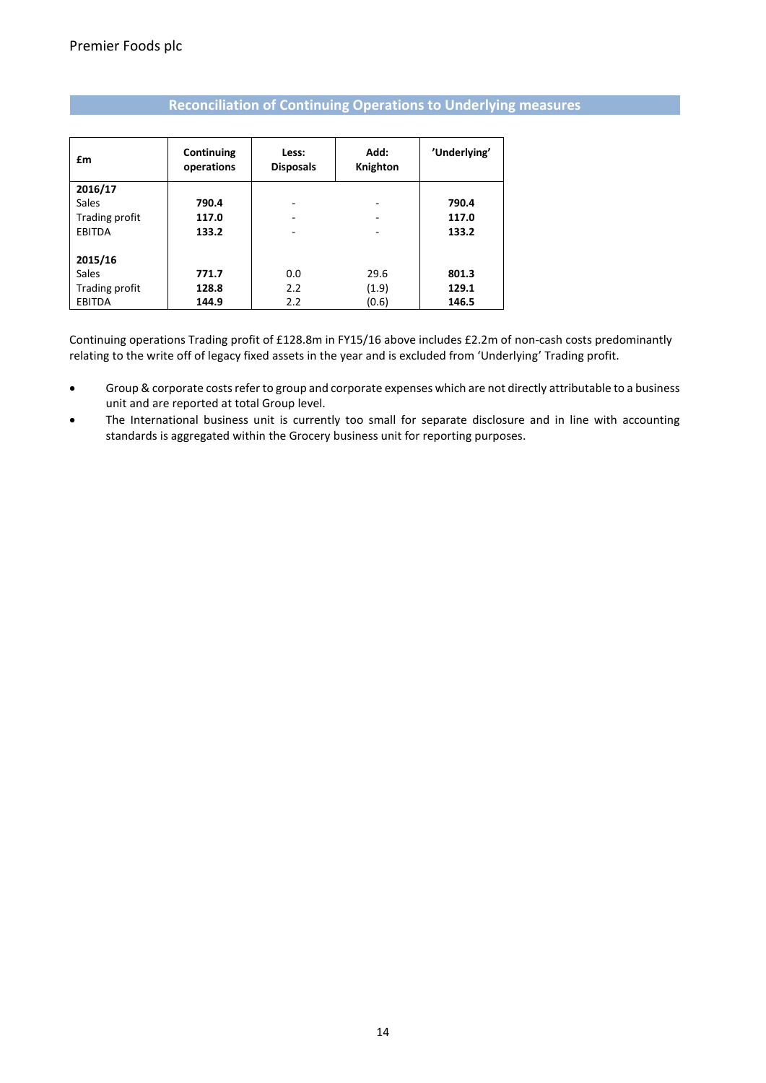# **Reconciliation of Continuing Operations to Underlying measures**

| £m             | Continuing<br>operations | Less:<br><b>Disposals</b> | Add:<br>Knighton | 'Underlying' |
|----------------|--------------------------|---------------------------|------------------|--------------|
| 2016/17        |                          |                           |                  |              |
| Sales          | 790.4                    | -                         |                  | 790.4        |
| Trading profit | 117.0                    | -                         |                  | 117.0        |
| EBITDA         | 133.2                    | -                         |                  | 133.2        |
|                |                          |                           |                  |              |
| 2015/16        |                          |                           |                  |              |
| <b>Sales</b>   | 771.7                    | 0.0                       | 29.6             | 801.3        |
| Trading profit | 128.8                    | 2.2                       | (1.9)            | 129.1        |
| EBITDA         | 144.9                    | 2.2                       | (0.6)            | 146.5        |

Continuing operations Trading profit of £128.8m in FY15/16 above includes £2.2m of non-cash costs predominantly relating to the write off of legacy fixed assets in the year and is excluded from 'Underlying' Trading profit.

- Group & corporate costs refer to group and corporate expenses which are not directly attributable to a business unit and are reported at total Group level.
- The International business unit is currently too small for separate disclosure and in line with accounting standards is aggregated within the Grocery business unit for reporting purposes.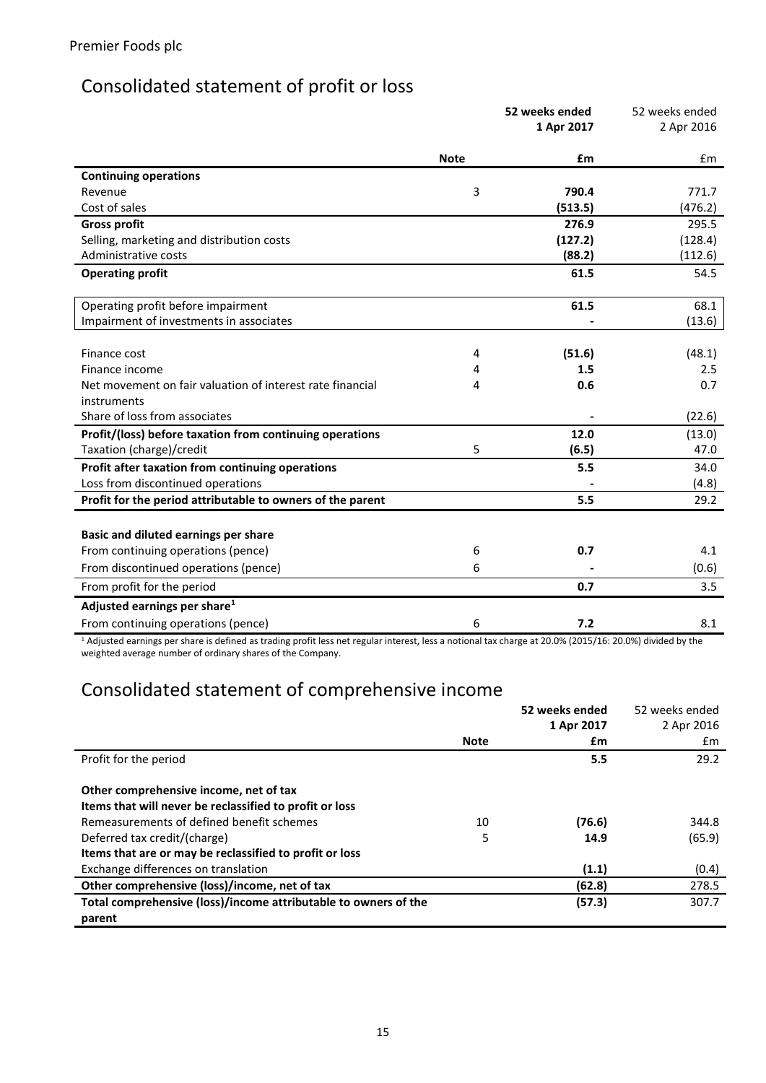# Consolidated statement of profit or loss

|                                                            |             | 52 weeks ended<br>1 Apr 2017 | 52 weeks ended<br>2 Apr 2016 |
|------------------------------------------------------------|-------------|------------------------------|------------------------------|
|                                                            | <b>Note</b> | £m                           | Em                           |
| <b>Continuing operations</b>                               |             |                              |                              |
| Revenue                                                    | 3           | 790.4                        | 771.7                        |
| Cost of sales                                              |             | (513.5)                      | (476.2)                      |
| <b>Gross profit</b>                                        |             | 276.9                        | 295.5                        |
| Selling, marketing and distribution costs                  |             | (127.2)                      | (128.4)                      |
| Administrative costs                                       |             | (88.2)                       | (112.6)                      |
| <b>Operating profit</b>                                    |             | 61.5                         | 54.5                         |
| Operating profit before impairment                         |             | 61.5                         | 68.1                         |
| Impairment of investments in associates                    |             |                              | (13.6)                       |
|                                                            |             |                              |                              |
| Finance cost                                               | 4           | (51.6)                       | (48.1)                       |
| Finance income                                             | 4           | 1.5                          | 2.5                          |
| Net movement on fair valuation of interest rate financial  | 4           | 0.6                          | 0.7                          |
| instruments                                                |             |                              |                              |
| Share of loss from associates                              |             |                              | (22.6)                       |
| Profit/(loss) before taxation from continuing operations   |             | 12.0                         | (13.0)                       |
| Taxation (charge)/credit                                   | 5           | (6.5)                        | 47.0                         |
| Profit after taxation from continuing operations           |             | 5.5                          | 34.0                         |
| Loss from discontinued operations                          |             |                              | (4.8)                        |
| Profit for the period attributable to owners of the parent |             | 5.5                          | 29.2                         |
|                                                            |             |                              |                              |
| Basic and diluted earnings per share                       |             |                              |                              |
| From continuing operations (pence)                         | 6           | 0.7                          | 4.1                          |
| From discontinued operations (pence)                       | 6           |                              | (0.6)                        |
| From profit for the period                                 |             | 0.7                          | 3.5                          |
| Adjusted earnings per share <sup>1</sup>                   |             |                              |                              |
| From continuing operations (pence)                         | 6           | 7.2                          | 8.1                          |

<sup>1</sup> Adjusted earnings per share is defined as trading profit less net regular interest, less a notional tax charge at 20.0% (2015/16: 20.0%) divided by the weighted average number of ordinary shares of the Company.

# Consolidated statement of comprehensive income

|                                                                 |             | 52 weeks ended | 52 weeks ended |
|-----------------------------------------------------------------|-------------|----------------|----------------|
|                                                                 |             | 1 Apr 2017     | 2 Apr 2016     |
|                                                                 | <b>Note</b> | £m             | £m             |
| Profit for the period                                           |             | 5.5            | 29.2           |
|                                                                 |             |                |                |
| Other comprehensive income, net of tax                          |             |                |                |
| Items that will never be reclassified to profit or loss         |             |                |                |
| Remeasurements of defined benefit schemes                       | 10          | (76.6)         | 344.8          |
| Deferred tax credit/(charge)                                    | 5           | 14.9           | (65.9)         |
| Items that are or may be reclassified to profit or loss         |             |                |                |
| Exchange differences on translation                             |             | (1.1)          | (0.4)          |
| Other comprehensive (loss)/income, net of tax                   |             | (62.8)         | 278.5          |
| Total comprehensive (loss)/income attributable to owners of the |             | (57.3)         | 307.7          |
| parent                                                          |             |                |                |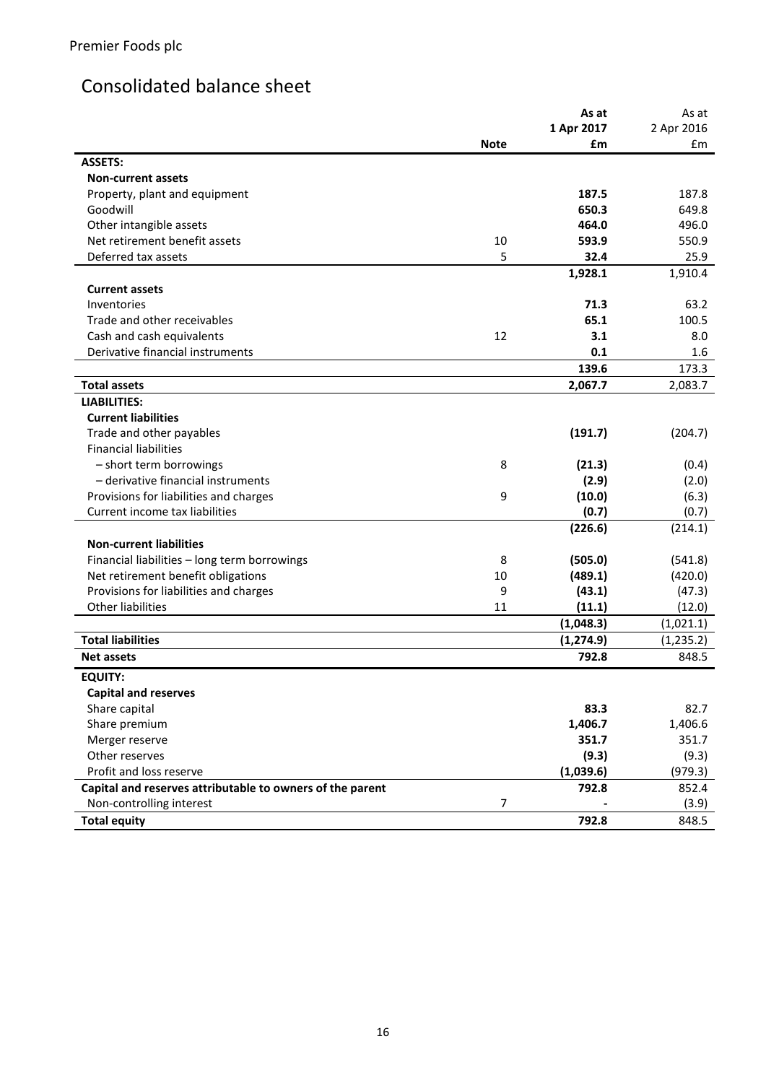# Consolidated balance sheet

| 2 Apr 2016<br>1 Apr 2017<br>£m<br><b>Note</b><br>£m<br><b>ASSETS:</b><br><b>Non-current assets</b><br>187.5<br>187.8<br>Property, plant and equipment<br>Goodwill<br>650.3<br>649.8<br>464.0<br>496.0<br>Other intangible assets<br>Net retirement benefit assets<br>10<br>593.9<br>550.9<br>Deferred tax assets<br>5<br>32.4<br>25.9<br>1,928.1<br>1,910.4<br><b>Current assets</b><br>63.2<br>Inventories<br>71.3<br>Trade and other receivables<br>65.1<br>100.5<br>Cash and cash equivalents<br>12<br>3.1<br>8.0<br>Derivative financial instruments<br>0.1<br>1.6<br>173.3<br>139.6<br><b>Total assets</b><br>2,067.7<br>2,083.7<br><b>LIABILITIES:</b><br><b>Current liabilities</b><br>Trade and other payables<br>(191.7)<br>(204.7)<br><b>Financial liabilities</b><br>- short term borrowings<br>8<br>(21.3)<br>(0.4) |
|---------------------------------------------------------------------------------------------------------------------------------------------------------------------------------------------------------------------------------------------------------------------------------------------------------------------------------------------------------------------------------------------------------------------------------------------------------------------------------------------------------------------------------------------------------------------------------------------------------------------------------------------------------------------------------------------------------------------------------------------------------------------------------------------------------------------------------|
|                                                                                                                                                                                                                                                                                                                                                                                                                                                                                                                                                                                                                                                                                                                                                                                                                                 |
|                                                                                                                                                                                                                                                                                                                                                                                                                                                                                                                                                                                                                                                                                                                                                                                                                                 |
|                                                                                                                                                                                                                                                                                                                                                                                                                                                                                                                                                                                                                                                                                                                                                                                                                                 |
|                                                                                                                                                                                                                                                                                                                                                                                                                                                                                                                                                                                                                                                                                                                                                                                                                                 |
|                                                                                                                                                                                                                                                                                                                                                                                                                                                                                                                                                                                                                                                                                                                                                                                                                                 |
|                                                                                                                                                                                                                                                                                                                                                                                                                                                                                                                                                                                                                                                                                                                                                                                                                                 |
|                                                                                                                                                                                                                                                                                                                                                                                                                                                                                                                                                                                                                                                                                                                                                                                                                                 |
|                                                                                                                                                                                                                                                                                                                                                                                                                                                                                                                                                                                                                                                                                                                                                                                                                                 |
|                                                                                                                                                                                                                                                                                                                                                                                                                                                                                                                                                                                                                                                                                                                                                                                                                                 |
|                                                                                                                                                                                                                                                                                                                                                                                                                                                                                                                                                                                                                                                                                                                                                                                                                                 |
|                                                                                                                                                                                                                                                                                                                                                                                                                                                                                                                                                                                                                                                                                                                                                                                                                                 |
|                                                                                                                                                                                                                                                                                                                                                                                                                                                                                                                                                                                                                                                                                                                                                                                                                                 |
|                                                                                                                                                                                                                                                                                                                                                                                                                                                                                                                                                                                                                                                                                                                                                                                                                                 |
|                                                                                                                                                                                                                                                                                                                                                                                                                                                                                                                                                                                                                                                                                                                                                                                                                                 |
|                                                                                                                                                                                                                                                                                                                                                                                                                                                                                                                                                                                                                                                                                                                                                                                                                                 |
|                                                                                                                                                                                                                                                                                                                                                                                                                                                                                                                                                                                                                                                                                                                                                                                                                                 |
|                                                                                                                                                                                                                                                                                                                                                                                                                                                                                                                                                                                                                                                                                                                                                                                                                                 |
|                                                                                                                                                                                                                                                                                                                                                                                                                                                                                                                                                                                                                                                                                                                                                                                                                                 |
|                                                                                                                                                                                                                                                                                                                                                                                                                                                                                                                                                                                                                                                                                                                                                                                                                                 |
|                                                                                                                                                                                                                                                                                                                                                                                                                                                                                                                                                                                                                                                                                                                                                                                                                                 |
|                                                                                                                                                                                                                                                                                                                                                                                                                                                                                                                                                                                                                                                                                                                                                                                                                                 |
|                                                                                                                                                                                                                                                                                                                                                                                                                                                                                                                                                                                                                                                                                                                                                                                                                                 |
| - derivative financial instruments<br>(2.9)<br>(2.0)                                                                                                                                                                                                                                                                                                                                                                                                                                                                                                                                                                                                                                                                                                                                                                            |
| Provisions for liabilities and charges<br>9<br>(10.0)<br>(6.3)                                                                                                                                                                                                                                                                                                                                                                                                                                                                                                                                                                                                                                                                                                                                                                  |
| Current income tax liabilities<br>(0.7)<br>(0.7)                                                                                                                                                                                                                                                                                                                                                                                                                                                                                                                                                                                                                                                                                                                                                                                |
| (226.6)<br>(214.1)                                                                                                                                                                                                                                                                                                                                                                                                                                                                                                                                                                                                                                                                                                                                                                                                              |
| <b>Non-current liabilities</b>                                                                                                                                                                                                                                                                                                                                                                                                                                                                                                                                                                                                                                                                                                                                                                                                  |
| Financial liabilities - long term borrowings<br>8<br>(505.0)<br>(541.8)                                                                                                                                                                                                                                                                                                                                                                                                                                                                                                                                                                                                                                                                                                                                                         |
| (420.0)<br>Net retirement benefit obligations<br>10<br>(489.1)                                                                                                                                                                                                                                                                                                                                                                                                                                                                                                                                                                                                                                                                                                                                                                  |
| Provisions for liabilities and charges<br>9<br>(43.1)<br>(47.3)                                                                                                                                                                                                                                                                                                                                                                                                                                                                                                                                                                                                                                                                                                                                                                 |
| Other liabilities<br>11<br>(11.1)<br>(12.0)                                                                                                                                                                                                                                                                                                                                                                                                                                                                                                                                                                                                                                                                                                                                                                                     |
| (1,048.3)<br>(1,021.1)                                                                                                                                                                                                                                                                                                                                                                                                                                                                                                                                                                                                                                                                                                                                                                                                          |
| <b>Total liabilities</b><br>(1, 274.9)<br>(1, 235.2)                                                                                                                                                                                                                                                                                                                                                                                                                                                                                                                                                                                                                                                                                                                                                                            |
| 792.8<br>848.5<br><b>Net assets</b>                                                                                                                                                                                                                                                                                                                                                                                                                                                                                                                                                                                                                                                                                                                                                                                             |
| <b>EQUITY:</b>                                                                                                                                                                                                                                                                                                                                                                                                                                                                                                                                                                                                                                                                                                                                                                                                                  |
| <b>Capital and reserves</b>                                                                                                                                                                                                                                                                                                                                                                                                                                                                                                                                                                                                                                                                                                                                                                                                     |
| Share capital<br>83.3<br>82.7                                                                                                                                                                                                                                                                                                                                                                                                                                                                                                                                                                                                                                                                                                                                                                                                   |
| Share premium<br>1,406.7<br>1,406.6                                                                                                                                                                                                                                                                                                                                                                                                                                                                                                                                                                                                                                                                                                                                                                                             |
| 351.7<br>351.7<br>Merger reserve                                                                                                                                                                                                                                                                                                                                                                                                                                                                                                                                                                                                                                                                                                                                                                                                |
| Other reserves<br>(9.3)<br>(9.3)                                                                                                                                                                                                                                                                                                                                                                                                                                                                                                                                                                                                                                                                                                                                                                                                |
| Profit and loss reserve<br>(1,039.6)<br>(979.3)                                                                                                                                                                                                                                                                                                                                                                                                                                                                                                                                                                                                                                                                                                                                                                                 |
| Capital and reserves attributable to owners of the parent<br>792.8<br>852.4                                                                                                                                                                                                                                                                                                                                                                                                                                                                                                                                                                                                                                                                                                                                                     |
| $\overline{7}$<br>Non-controlling interest<br>(3.9)                                                                                                                                                                                                                                                                                                                                                                                                                                                                                                                                                                                                                                                                                                                                                                             |
| <b>Total equity</b><br>792.8<br>848.5                                                                                                                                                                                                                                                                                                                                                                                                                                                                                                                                                                                                                                                                                                                                                                                           |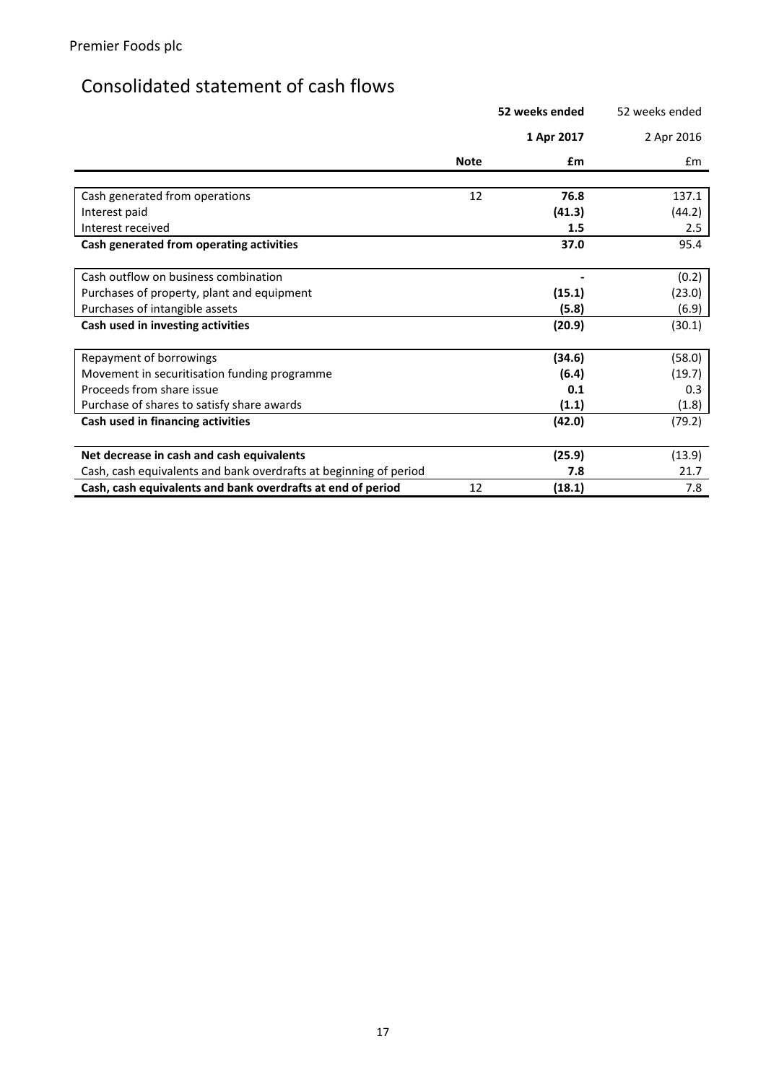# Consolidated statement of cash flows

|                                                                   |             | 52 weeks ended | 52 weeks ended |
|-------------------------------------------------------------------|-------------|----------------|----------------|
|                                                                   |             | 1 Apr 2017     | 2 Apr 2016     |
|                                                                   | <b>Note</b> | £m             | Em             |
| Cash generated from operations                                    | 12          | 76.8           | 137.1          |
|                                                                   |             |                |                |
| Interest paid<br>Interest received                                |             | (41.3)<br>1.5  | (44.2)<br>2.5  |
|                                                                   |             |                |                |
| Cash generated from operating activities                          |             | 37.0           | 95.4           |
| Cash outflow on business combination                              |             |                | (0.2)          |
| Purchases of property, plant and equipment                        |             | (15.1)         | (23.0)         |
| Purchases of intangible assets                                    |             | (5.8)          | (6.9)          |
| Cash used in investing activities                                 |             | (20.9)         | (30.1)         |
| Repayment of borrowings                                           |             | (34.6)         | (58.0)         |
| Movement in securitisation funding programme                      |             | (6.4)          | (19.7)         |
| Proceeds from share issue                                         |             | 0.1            | 0.3            |
| Purchase of shares to satisfy share awards                        |             | (1.1)          | (1.8)          |
| Cash used in financing activities                                 |             | (42.0)         | (79.2)         |
| Net decrease in cash and cash equivalents                         |             | (25.9)         | (13.9)         |
| Cash, cash equivalents and bank overdrafts at beginning of period |             | 7.8            | 21.7           |
| Cash, cash equivalents and bank overdrafts at end of period       | 12          | (18.1)         | 7.8            |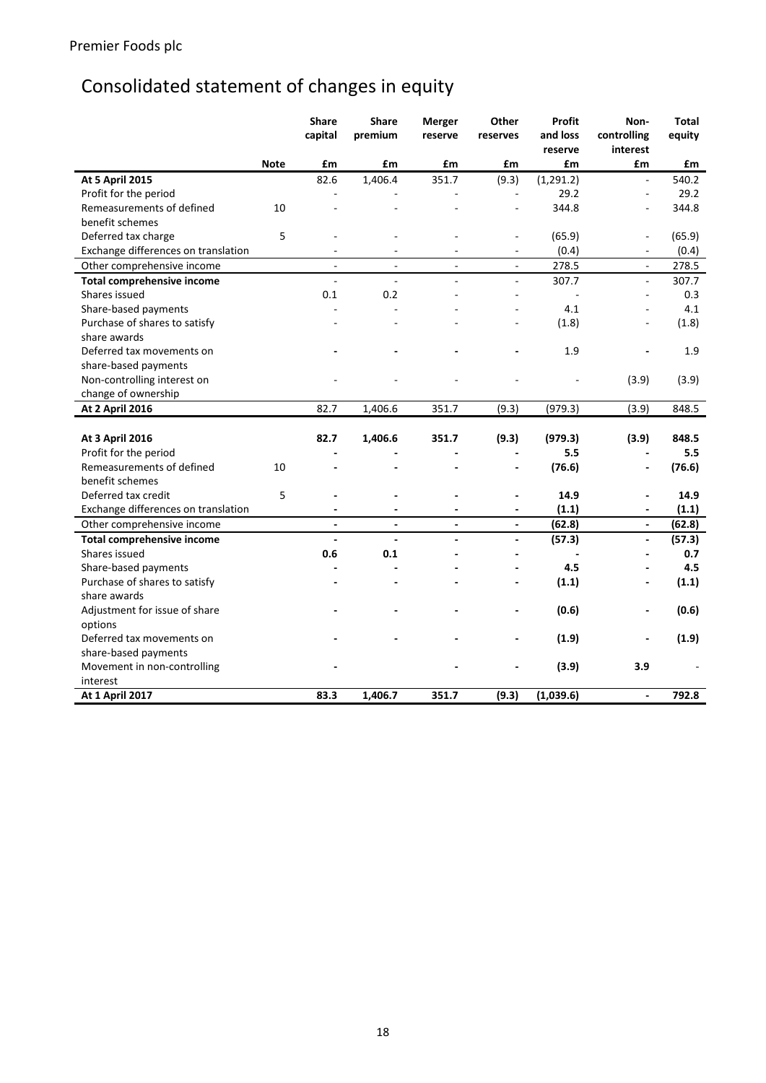# Consolidated statement of changes in equity

|                                     |             | <b>Share</b><br>capital      | <b>Share</b><br>premium | <b>Merger</b><br>reserve | Other<br>reserves        | Profit<br>and loss | Non-<br>controlling          | <b>Total</b><br>equity |
|-------------------------------------|-------------|------------------------------|-------------------------|--------------------------|--------------------------|--------------------|------------------------------|------------------------|
|                                     |             |                              |                         |                          |                          | reserve            | interest                     |                        |
|                                     | <b>Note</b> | £m                           | £m                      | £m                       | £m                       | £m                 | £m                           | £m                     |
| <b>At 5 April 2015</b>              |             | 82.6                         | 1,406.4                 | 351.7                    | (9.3)                    | (1, 291.2)         | ÷.                           | 540.2                  |
| Profit for the period               |             |                              |                         |                          | $\sim$                   | 29.2               |                              | 29.2                   |
| Remeasurements of defined           | 10          |                              |                         |                          | ä,                       | 344.8              | ä,                           | 344.8                  |
| benefit schemes                     |             |                              |                         |                          |                          |                    |                              |                        |
| Deferred tax charge                 | 5           | ÷,                           |                         |                          | $\blacksquare$           | (65.9)             | $\blacksquare$               | (65.9)                 |
| Exchange differences on translation |             | ÷,                           |                         |                          |                          | (0.4)              |                              | (0.4)                  |
| Other comprehensive income          |             | $\frac{1}{2}$                | $\sim$                  | $\overline{\phantom{a}}$ | $\overline{\phantom{a}}$ | 278.5              | $\overline{\phantom{a}}$     | 278.5                  |
| <b>Total comprehensive income</b>   |             |                              |                         |                          |                          | 307.7              | $\sim$                       | 307.7                  |
| Shares issued                       |             | 0.1                          | 0.2                     |                          |                          | ÷,                 | $\overline{\phantom{a}}$     | 0.3                    |
| Share-based payments                |             |                              |                         |                          |                          | 4.1                |                              | 4.1                    |
| Purchase of shares to satisfy       |             |                              |                         |                          |                          | (1.8)              | $\overline{\phantom{a}}$     | (1.8)                  |
| share awards                        |             |                              |                         |                          |                          |                    |                              |                        |
| Deferred tax movements on           |             |                              |                         |                          |                          | 1.9                |                              | 1.9                    |
| share-based payments                |             |                              |                         |                          |                          |                    |                              |                        |
| Non-controlling interest on         |             |                              |                         |                          |                          |                    | (3.9)                        | (3.9)                  |
| change of ownership                 |             |                              |                         |                          |                          |                    |                              |                        |
| <b>At 2 April 2016</b>              |             | 82.7                         | 1,406.6                 | 351.7                    | (9.3)                    | (979.3)            | (3.9)                        | 848.5                  |
|                                     |             |                              |                         |                          |                          |                    |                              |                        |
| <b>At 3 April 2016</b>              |             | 82.7                         | 1,406.6                 | 351.7                    | (9.3)                    | (979.3)            | (3.9)                        | 848.5                  |
| Profit for the period               |             |                              |                         |                          |                          | 5.5                |                              | 5.5                    |
| Remeasurements of defined           | 10          |                              |                         |                          |                          | (76.6)             |                              | (76.6)                 |
| benefit schemes                     |             |                              |                         |                          |                          |                    |                              |                        |
| Deferred tax credit                 | 5           |                              |                         | $\overline{\phantom{a}}$ |                          | 14.9               | $\overline{\phantom{0}}$     | 14.9                   |
| Exchange differences on translation |             | $\qquad \qquad \blacksquare$ | $\blacksquare$          |                          | $\overline{\phantom{a}}$ | (1.1)              | $\overline{\phantom{a}}$     | (1.1)                  |
| Other comprehensive income          |             | $\overline{\phantom{a}}$     | $\blacksquare$          | $\blacksquare$           | $\blacksquare$           | (62.8)             | $\blacksquare$               | (62.8)                 |
| <b>Total comprehensive income</b>   |             |                              |                         |                          | $\overline{\phantom{a}}$ | (57.3)             | $\blacksquare$               | (57.3)                 |
| Shares issued                       |             | 0.6                          | 0.1                     |                          |                          |                    | ÷,                           | 0.7                    |
| Share-based payments                |             |                              |                         |                          |                          | 4.5                | $\blacksquare$               | 4.5                    |
| Purchase of shares to satisfy       |             |                              |                         |                          | ÷,                       | (1.1)              | $\qquad \qquad \blacksquare$ | (1.1)                  |
| share awards                        |             |                              |                         |                          |                          |                    |                              |                        |
| Adjustment for issue of share       |             |                              |                         |                          |                          | (0.6)              | $\overline{\phantom{0}}$     | (0.6)                  |
| options                             |             |                              |                         |                          |                          |                    |                              |                        |
| Deferred tax movements on           |             |                              |                         |                          | $\blacksquare$           | (1.9)              | $\overline{a}$               | (1.9)                  |
| share-based payments                |             |                              |                         |                          |                          |                    |                              |                        |
| Movement in non-controlling         |             |                              |                         |                          |                          | (3.9)              | 3.9                          |                        |
| interest                            |             |                              |                         |                          |                          |                    |                              | 792.8                  |
| At 1 April 2017                     |             | 83.3                         | 1,406.7                 | 351.7                    | (9.3)                    | (1,039.6)          | $\blacksquare$               |                        |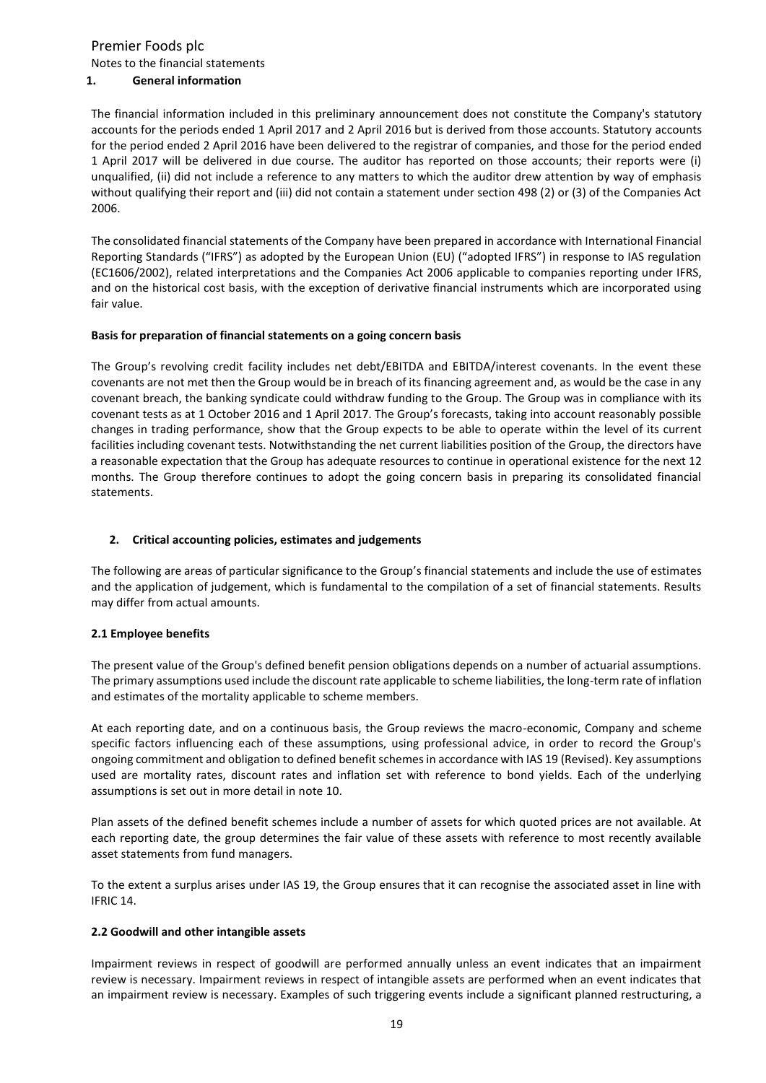#### **1. General information**

The financial information included in this preliminary announcement does not constitute the Company's statutory accounts for the periods ended 1 April 2017 and 2 April 2016 but is derived from those accounts. Statutory accounts for the period ended 2 April 2016 have been delivered to the registrar of companies, and those for the period ended 1 April 2017 will be delivered in due course. The auditor has reported on those accounts; their reports were (i) unqualified, (ii) did not include a reference to any matters to which the auditor drew attention by way of emphasis without qualifying their report and (iii) did not contain a statement under section 498 (2) or (3) of the Companies Act 2006.

The consolidated financial statements of the Company have been prepared in accordance with International Financial Reporting Standards ("IFRS") as adopted by the European Union (EU) ("adopted IFRS") in response to IAS regulation (EC1606/2002), related interpretations and the Companies Act 2006 applicable to companies reporting under IFRS, and on the historical cost basis, with the exception of derivative financial instruments which are incorporated using fair value.

#### **Basis for preparation of financial statements on a going concern basis**

The Group's revolving credit facility includes net debt/EBITDA and EBITDA/interest covenants. In the event these covenants are not met then the Group would be in breach of its financing agreement and, as would be the case in any covenant breach, the banking syndicate could withdraw funding to the Group. The Group was in compliance with its covenant tests as at 1 October 2016 and 1 April 2017. The Group's forecasts, taking into account reasonably possible changes in trading performance, show that the Group expects to be able to operate within the level of its current facilities including covenant tests. Notwithstanding the net current liabilities position of the Group, the directors have a reasonable expectation that the Group has adequate resources to continue in operational existence for the next 12 months. The Group therefore continues to adopt the going concern basis in preparing its consolidated financial statements.

### **2. Critical accounting policies, estimates and judgements**

The following are areas of particular significance to the Group's financial statements and include the use of estimates and the application of judgement, which is fundamental to the compilation of a set of financial statements. Results may differ from actual amounts.

### **2.1 Employee benefits**

The present value of the Group's defined benefit pension obligations depends on a number of actuarial assumptions. The primary assumptions used include the discount rate applicable to scheme liabilities, the long-term rate of inflation and estimates of the mortality applicable to scheme members.

At each reporting date, and on a continuous basis, the Group reviews the macro-economic, Company and scheme specific factors influencing each of these assumptions, using professional advice, in order to record the Group's ongoing commitment and obligation to defined benefit schemes in accordance with IAS 19 (Revised). Key assumptions used are mortality rates, discount rates and inflation set with reference to bond yields. Each of the underlying assumptions is set out in more detail in note 10.

Plan assets of the defined benefit schemes include a number of assets for which quoted prices are not available. At each reporting date, the group determines the fair value of these assets with reference to most recently available asset statements from fund managers.

To the extent a surplus arises under IAS 19, the Group ensures that it can recognise the associated asset in line with IFRIC 14.

#### **2.2 Goodwill and other intangible assets**

Impairment reviews in respect of goodwill are performed annually unless an event indicates that an impairment review is necessary. Impairment reviews in respect of intangible assets are performed when an event indicates that an impairment review is necessary. Examples of such triggering events include a significant planned restructuring, a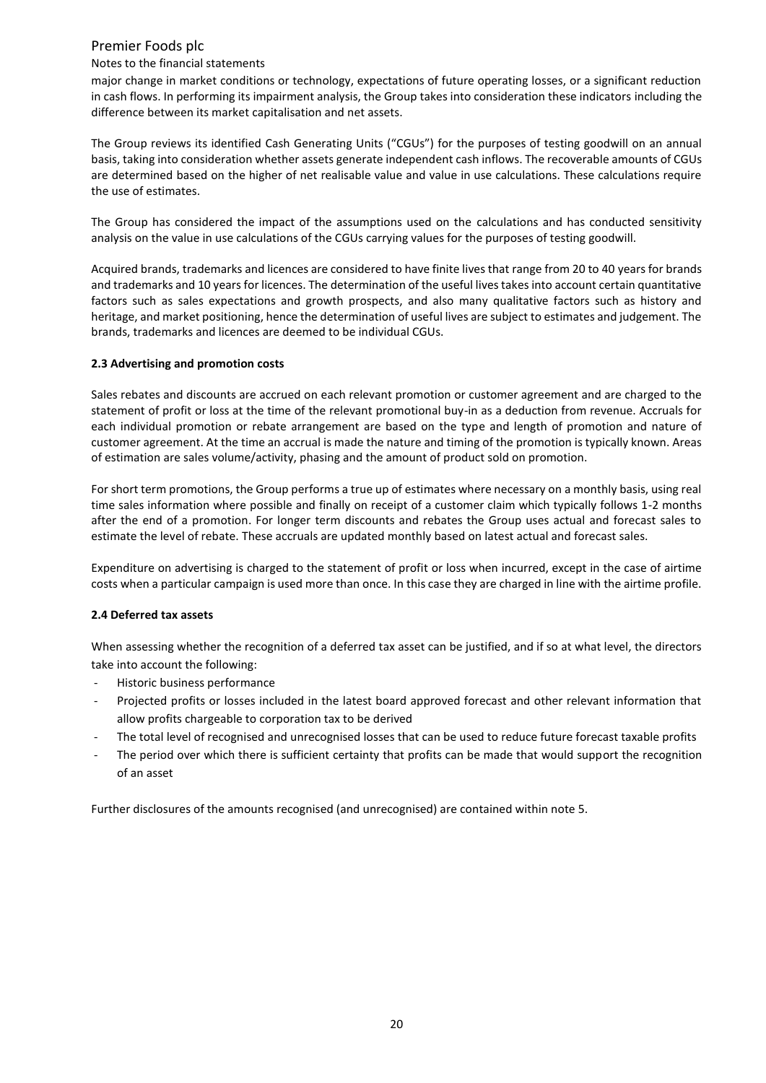#### Notes to the financial statements

major change in market conditions or technology, expectations of future operating losses, or a significant reduction in cash flows. In performing its impairment analysis, the Group takes into consideration these indicators including the difference between its market capitalisation and net assets.

The Group reviews its identified Cash Generating Units ("CGUs") for the purposes of testing goodwill on an annual basis, taking into consideration whether assets generate independent cash inflows. The recoverable amounts of CGUs are determined based on the higher of net realisable value and value in use calculations. These calculations require the use of estimates.

The Group has considered the impact of the assumptions used on the calculations and has conducted sensitivity analysis on the value in use calculations of the CGUs carrying values for the purposes of testing goodwill.

Acquired brands, trademarks and licences are considered to have finite lives that range from 20 to 40 years for brands and trademarks and 10 years for licences. The determination of the useful lives takes into account certain quantitative factors such as sales expectations and growth prospects, and also many qualitative factors such as history and heritage, and market positioning, hence the determination of useful lives are subject to estimates and judgement. The brands, trademarks and licences are deemed to be individual CGUs.

### **2.3 Advertising and promotion costs**

Sales rebates and discounts are accrued on each relevant promotion or customer agreement and are charged to the statement of profit or loss at the time of the relevant promotional buy-in as a deduction from revenue. Accruals for each individual promotion or rebate arrangement are based on the type and length of promotion and nature of customer agreement. At the time an accrual is made the nature and timing of the promotion is typically known. Areas of estimation are sales volume/activity, phasing and the amount of product sold on promotion.

For short term promotions, the Group performs a true up of estimates where necessary on a monthly basis, using real time sales information where possible and finally on receipt of a customer claim which typically follows 1-2 months after the end of a promotion. For longer term discounts and rebates the Group uses actual and forecast sales to estimate the level of rebate. These accruals are updated monthly based on latest actual and forecast sales.

Expenditure on advertising is charged to the statement of profit or loss when incurred, except in the case of airtime costs when a particular campaign is used more than once. In this case they are charged in line with the airtime profile.

### **2.4 Deferred tax assets**

When assessing whether the recognition of a deferred tax asset can be justified, and if so at what level, the directors take into account the following:

- Historic business performance
- Projected profits or losses included in the latest board approved forecast and other relevant information that allow profits chargeable to corporation tax to be derived
- The total level of recognised and unrecognised losses that can be used to reduce future forecast taxable profits
- The period over which there is sufficient certainty that profits can be made that would support the recognition of an asset

Further disclosures of the amounts recognised (and unrecognised) are contained within note 5.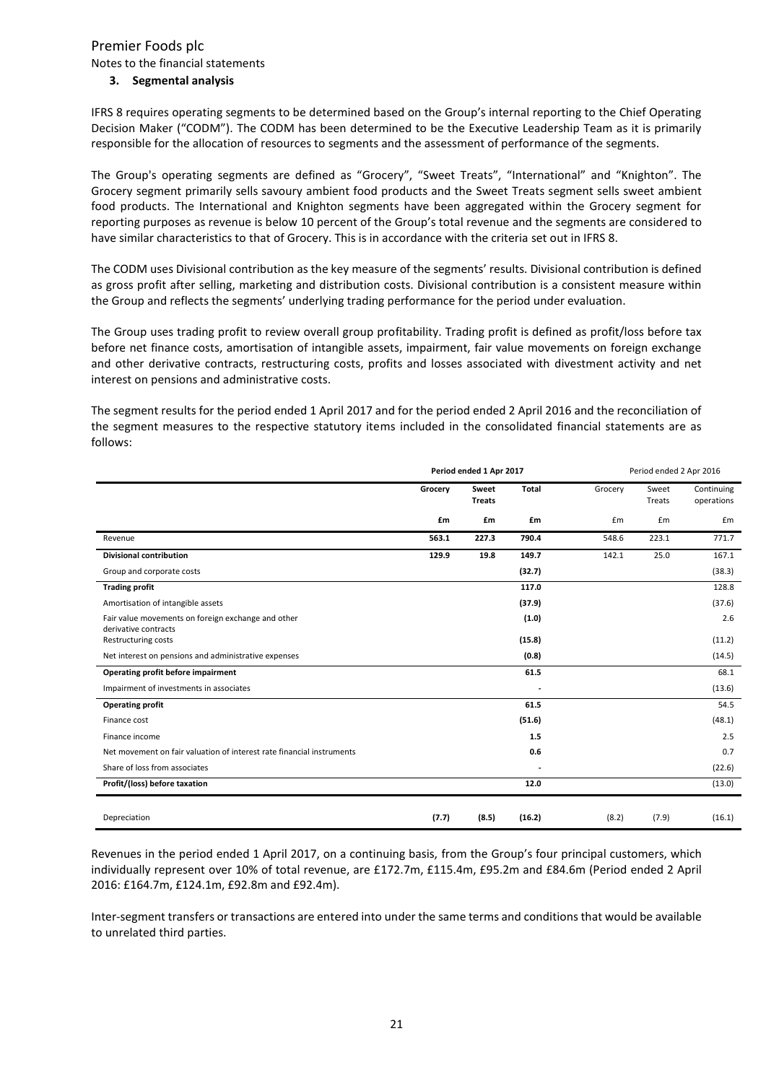#### **3. Segmental analysis**

IFRS 8 requires operating segments to be determined based on the Group's internal reporting to the Chief Operating Decision Maker ("CODM"). The CODM has been determined to be the Executive Leadership Team as it is primarily responsible for the allocation of resources to segments and the assessment of performance of the segments.

The Group's operating segments are defined as "Grocery", "Sweet Treats", "International" and "Knighton". The Grocery segment primarily sells savoury ambient food products and the Sweet Treats segment sells sweet ambient food products. The International and Knighton segments have been aggregated within the Grocery segment for reporting purposes as revenue is below 10 percent of the Group's total revenue and the segments are considered to have similar characteristics to that of Grocery. This is in accordance with the criteria set out in IFRS 8.

The CODM uses Divisional contribution as the key measure of the segments' results. Divisional contribution is defined as gross profit after selling, marketing and distribution costs. Divisional contribution is a consistent measure within the Group and reflects the segments' underlying trading performance for the period under evaluation.

The Group uses trading profit to review overall group profitability. Trading profit is defined as profit/loss before tax before net finance costs, amortisation of intangible assets, impairment, fair value movements on foreign exchange and other derivative contracts, restructuring costs, profits and losses associated with divestment activity and net interest on pensions and administrative costs.

The segment results for the period ended 1 April 2017 and for the period ended 2 April 2016 and the reconciliation of the segment measures to the respective statutory items included in the consolidated financial statements are as follows:

|                                                                            |         | Period ended 1 Apr 2017 |        |         | Period ended 2 Apr 2016 |                          |
|----------------------------------------------------------------------------|---------|-------------------------|--------|---------|-------------------------|--------------------------|
|                                                                            | Grocery | Sweet<br><b>Treats</b>  | Total  | Grocery | Sweet<br>Treats         | Continuing<br>operations |
|                                                                            | £m      | £m                      | £m     | £m      | £m                      | £m                       |
| Revenue                                                                    | 563.1   | 227.3                   | 790.4  | 548.6   | 223.1                   | 771.7                    |
| <b>Divisional contribution</b>                                             | 129.9   | 19.8                    | 149.7  | 142.1   | 25.0                    | 167.1                    |
| Group and corporate costs                                                  |         |                         | (32.7) |         |                         | (38.3)                   |
| <b>Trading profit</b>                                                      |         |                         | 117.0  |         |                         | 128.8                    |
| Amortisation of intangible assets                                          |         |                         | (37.9) |         |                         | (37.6)                   |
| Fair value movements on foreign exchange and other<br>derivative contracts |         |                         | (1.0)  |         |                         | 2.6                      |
| Restructuring costs                                                        |         |                         | (15.8) |         |                         | (11.2)                   |
| Net interest on pensions and administrative expenses                       |         |                         | (0.8)  |         |                         | (14.5)                   |
| Operating profit before impairment                                         |         |                         | 61.5   |         |                         | 68.1                     |
| Impairment of investments in associates                                    |         |                         |        |         |                         | (13.6)                   |
| <b>Operating profit</b>                                                    |         |                         | 61.5   |         |                         | 54.5                     |
| Finance cost                                                               |         |                         | (51.6) |         |                         | (48.1)                   |
| Finance income                                                             |         |                         | 1.5    |         |                         | 2.5                      |
| Net movement on fair valuation of interest rate financial instruments      |         |                         | 0.6    |         |                         | 0.7                      |
| Share of loss from associates                                              |         |                         |        |         |                         | (22.6)                   |
| Profit/(loss) before taxation                                              |         |                         | 12.0   |         |                         | (13.0)                   |
| Depreciation                                                               | (7.7)   | (8.5)                   | (16.2) | (8.2)   | (7.9)                   | (16.1)                   |

Revenues in the period ended 1 April 2017, on a continuing basis, from the Group's four principal customers, which individually represent over 10% of total revenue, are £172.7m, £115.4m, £95.2m and £84.6m (Period ended 2 April 2016: £164.7m, £124.1m, £92.8m and £92.4m).

Inter-segment transfers or transactions are entered into under the same terms and conditions that would be available to unrelated third parties.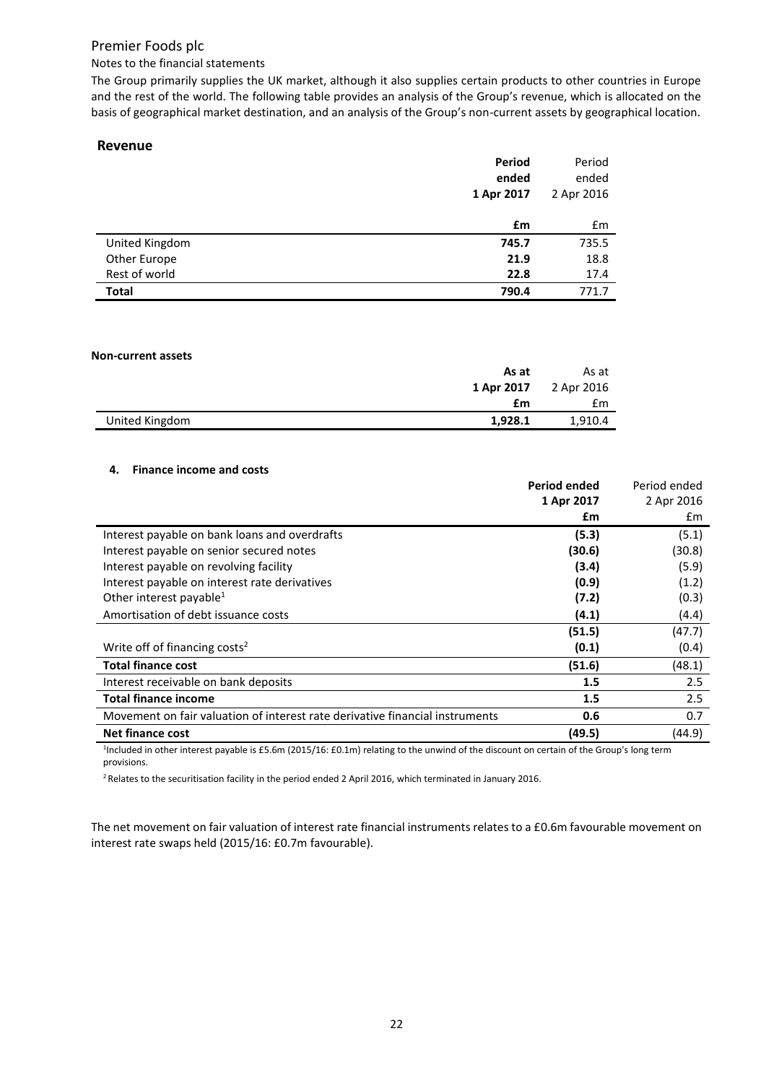### Notes to the financial statements

The Group primarily supplies the UK market, although it also supplies certain products to other countries in Europe and the rest of the world. The following table provides an analysis of the Group's revenue, which is allocated on the basis of geographical market destination, and an analysis of the Group's non-current assets by geographical location.

### **Revenue**

|                | Period<br>ended<br>1 Apr 2017 | Period<br>ended<br>2 Apr 2016 |
|----------------|-------------------------------|-------------------------------|
|                | £m                            | Em                            |
| United Kingdom | 745.7                         | 735.5                         |
| Other Europe   | 21.9                          | 18.8                          |
| Rest of world  | 22.8                          | 17.4                          |
| <b>Total</b>   | 790.4                         | 771.7                         |

### **Non-current assets**

|                | As at      | As at      |
|----------------|------------|------------|
|                | 1 Apr 2017 | 2 Apr 2016 |
|                | £m         | £m         |
| United Kingdom | 1,928.1    | 1,910.4    |

#### **4. Finance income and costs**

|                                                                              | <b>Period ended</b> | Period ended |
|------------------------------------------------------------------------------|---------------------|--------------|
|                                                                              | 1 Apr 2017          | 2 Apr 2016   |
|                                                                              | £m                  | £m           |
| Interest payable on bank loans and overdrafts                                | (5.3)               | (5.1)        |
| Interest payable on senior secured notes                                     | (30.6)              | (30.8)       |
| Interest payable on revolving facility                                       | (3.4)               | (5.9)        |
| Interest payable on interest rate derivatives                                | (0.9)               | (1.2)        |
| Other interest payable <sup>1</sup>                                          | (7.2)               | (0.3)        |
| Amortisation of debt issuance costs                                          | (4.1)               | (4.4)        |
|                                                                              | (51.5)              | (47.7)       |
| Write off of financing costs <sup>2</sup>                                    | (0.1)               | (0.4)        |
| <b>Total finance cost</b>                                                    | (51.6)              | (48.1)       |
| Interest receivable on bank deposits                                         | 1.5                 | 2.5          |
| <b>Total finance income</b>                                                  | 1.5                 | 2.5          |
| Movement on fair valuation of interest rate derivative financial instruments | 0.6                 | 0.7          |
| <b>Net finance cost</b>                                                      | (49.5)              | (44.9)       |

1 Included in other interest payable is £5.6m (2015/16: £0.1m) relating to the unwind of the discount on certain of the Group's long term provisions.

<sup>2</sup> Relates to the securitisation facility in the period ended 2 April 2016, which terminated in January 2016.

The net movement on fair valuation of interest rate financial instruments relates to a £0.6m favourable movement on interest rate swaps held (2015/16: £0.7m favourable).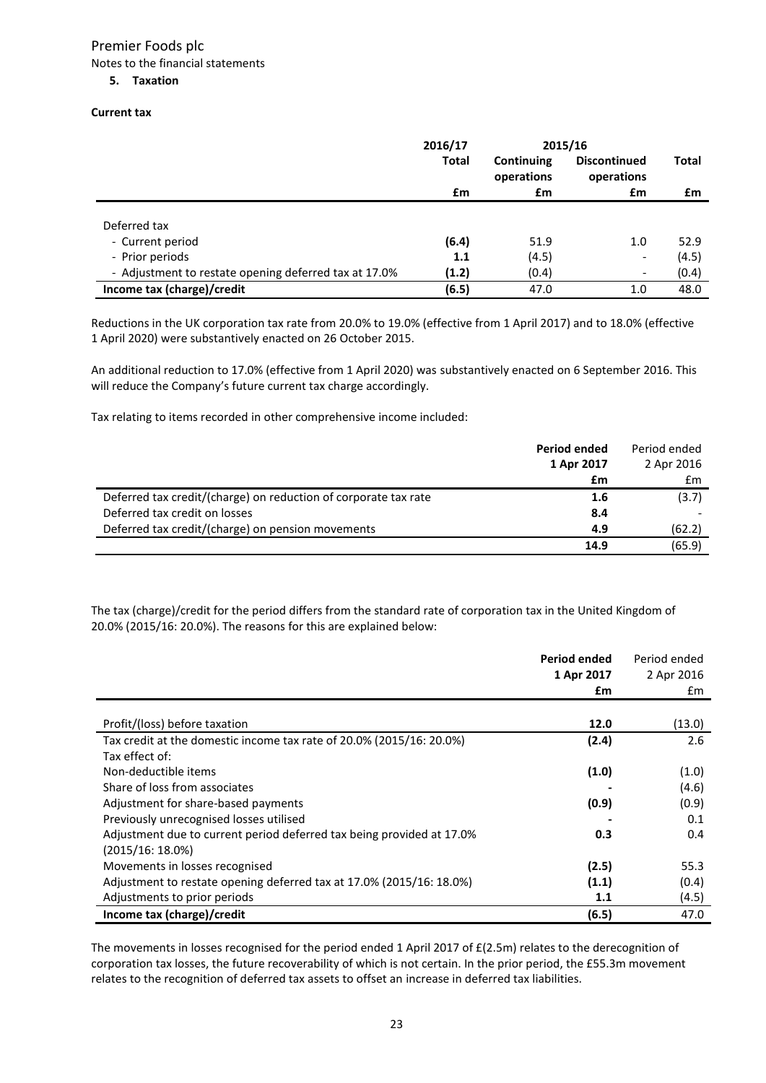# **5. Taxation**

### **Current tax**

|                                                       | 2016/17      |                          | 2015/16                           |              |
|-------------------------------------------------------|--------------|--------------------------|-----------------------------------|--------------|
|                                                       | <b>Total</b> | Continuing<br>operations | <b>Discontinued</b><br>operations | <b>Total</b> |
|                                                       | £m           | £m                       | £m                                | £m           |
|                                                       |              |                          |                                   |              |
| Deferred tax                                          |              |                          |                                   |              |
| - Current period                                      | (6.4)        | 51.9                     | 1.0                               | 52.9         |
| - Prior periods                                       | 1.1          | (4.5)                    | $\qquad \qquad \blacksquare$      | (4.5)        |
| - Adjustment to restate opening deferred tax at 17.0% | (1.2)        | (0.4)                    | $\qquad \qquad \blacksquare$      | (0.4)        |
| Income tax (charge)/credit                            | (6.5)        | 47.0                     | 1.0                               | 48.0         |

Reductions in the UK corporation tax rate from 20.0% to 19.0% (effective from 1 April 2017) and to 18.0% (effective 1 April 2020) were substantively enacted on 26 October 2015.

An additional reduction to 17.0% (effective from 1 April 2020) was substantively enacted on 6 September 2016. This will reduce the Company's future current tax charge accordingly.

Tax relating to items recorded in other comprehensive income included:

|                                                                 | <b>Period ended</b> | Period ended |
|-----------------------------------------------------------------|---------------------|--------------|
|                                                                 | 1 Apr 2017          | 2 Apr 2016   |
|                                                                 | £m                  | £m           |
| Deferred tax credit/(charge) on reduction of corporate tax rate | 1.6                 | (3.7)        |
| Deferred tax credit on losses                                   | 8.4                 |              |
| Deferred tax credit/(charge) on pension movements               | 4.9                 | (62.2)       |
|                                                                 | 14.9                | (65.9)       |

The tax (charge)/credit for the period differs from the standard rate of corporation tax in the United Kingdom of 20.0% (2015/16: 20.0%). The reasons for this are explained below:

|                                                                       | <b>Period ended</b> | Period ended |
|-----------------------------------------------------------------------|---------------------|--------------|
|                                                                       | 1 Apr 2017          | 2 Apr 2016   |
|                                                                       | £m                  | £m           |
|                                                                       |                     |              |
| Profit/(loss) before taxation                                         | 12.0                | (13.0)       |
| Tax credit at the domestic income tax rate of 20.0% (2015/16: 20.0%)  | (2.4)               | 2.6          |
| Tax effect of:                                                        |                     |              |
| Non-deductible items                                                  | (1.0)               | (1.0)        |
| Share of loss from associates                                         |                     | (4.6)        |
| Adjustment for share-based payments                                   | (0.9)               | (0.9)        |
| Previously unrecognised losses utilised                               |                     | 0.1          |
| Adjustment due to current period deferred tax being provided at 17.0% | 0.3                 | 0.4          |
| $(2015/16:18.0\%)$                                                    |                     |              |
| Movements in losses recognised                                        | (2.5)               | 55.3         |
| Adjustment to restate opening deferred tax at 17.0% (2015/16: 18.0%)  | (1.1)               | (0.4)        |
| Adjustments to prior periods                                          | 1.1                 | (4.5)        |
| Income tax (charge)/credit                                            | (6.5)               | 47.0         |

The movements in losses recognised for the period ended 1 April 2017 of £(2.5m) relates to the derecognition of corporation tax losses, the future recoverability of which is not certain. In the prior period, the £55.3m movement relates to the recognition of deferred tax assets to offset an increase in deferred tax liabilities.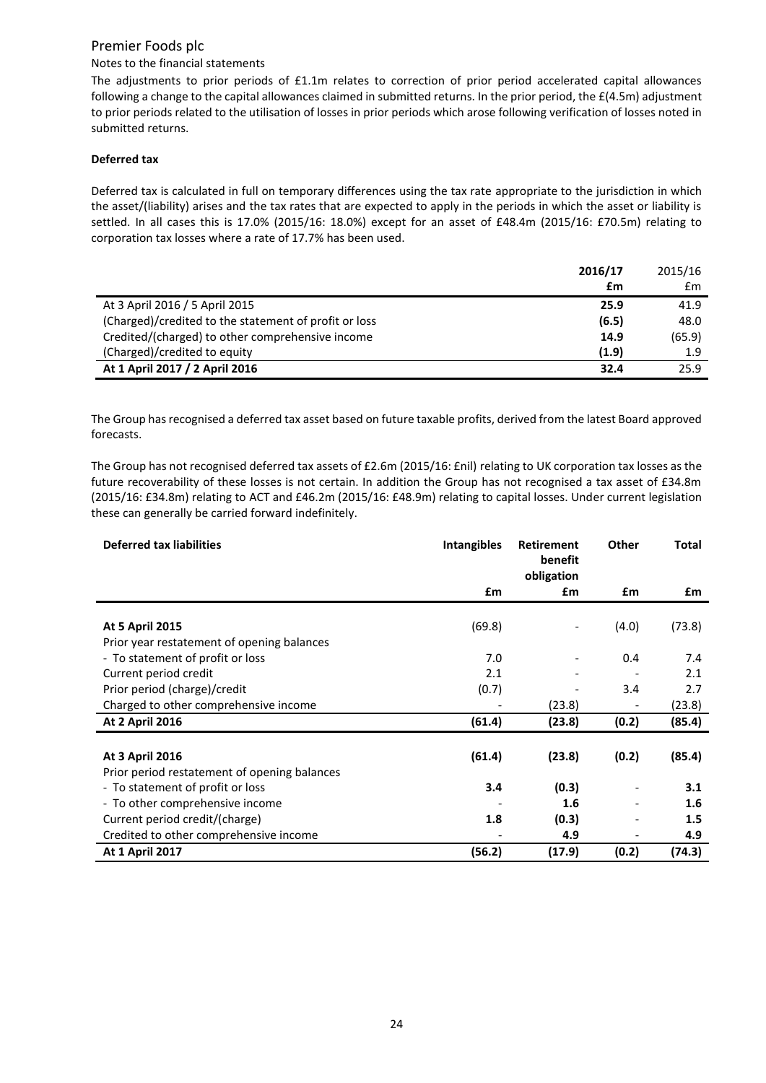#### Notes to the financial statements

The adjustments to prior periods of £1.1m relates to correction of prior period accelerated capital allowances following a change to the capital allowances claimed in submitted returns. In the prior period, the  $E(4.5m)$  adjustment to prior periods related to the utilisation of losses in prior periods which arose following verification of losses noted in submitted returns.

#### **Deferred tax**

Deferred tax is calculated in full on temporary differences using the tax rate appropriate to the jurisdiction in which the asset/(liability) arises and the tax rates that are expected to apply in the periods in which the asset or liability is settled. In all cases this is 17.0% (2015/16: 18.0%) except for an asset of £48.4m (2015/16: £70.5m) relating to corporation tax losses where a rate of 17.7% has been used.

|                                                       | 2016/17 | 2015/16       |
|-------------------------------------------------------|---------|---------------|
|                                                       | £m      | $\mathsf{fm}$ |
| At 3 April 2016 / 5 April 2015                        | 25.9    | 41.9          |
| (Charged)/credited to the statement of profit or loss | (6.5)   | 48.0          |
| Credited/(charged) to other comprehensive income      | 14.9    | (65.9)        |
| (Charged)/credited to equity                          | (1.9)   | 1.9           |
| At 1 April 2017 / 2 April 2016                        | 32.4    | 25.9          |

The Group has recognised a deferred tax asset based on future taxable profits, derived from the latest Board approved forecasts.

The Group has not recognised deferred tax assets of £2.6m (2015/16: £nil) relating to UK corporation tax losses as the future recoverability of these losses is not certain. In addition the Group has not recognised a tax asset of £34.8m (2015/16: £34.8m) relating to ACT and £46.2m (2015/16: £48.9m) relating to capital losses. Under current legislation these can generally be carried forward indefinitely.

| <b>Deferred tax liabilities</b>              | <b>Intangibles</b><br><b>Retirement</b><br>benefit<br>obligation |        | <b>Other</b> | <b>Total</b> |
|----------------------------------------------|------------------------------------------------------------------|--------|--------------|--------------|
|                                              | £m                                                               | £m     | £m           | £m           |
|                                              |                                                                  |        |              |              |
| <b>At 5 April 2015</b>                       | (69.8)                                                           |        | (4.0)        | (73.8)       |
| Prior year restatement of opening balances   |                                                                  |        |              |              |
| - To statement of profit or loss             | 7.0                                                              |        | 0.4          | 7.4          |
| Current period credit                        | 2.1                                                              |        |              | 2.1          |
| Prior period (charge)/credit                 | (0.7)                                                            |        | 3.4          | 2.7          |
| Charged to other comprehensive income        |                                                                  | (23.8) |              | (23.8)       |
| <b>At 2 April 2016</b>                       | (61.4)                                                           | (23.8) | (0.2)        | (85.4)       |
|                                              |                                                                  |        |              |              |
| <b>At 3 April 2016</b>                       | (61.4)                                                           | (23.8) | (0.2)        | (85.4)       |
| Prior period restatement of opening balances |                                                                  |        |              |              |
| - To statement of profit or loss             | 3.4                                                              | (0.3)  |              | 3.1          |
| - To other comprehensive income              |                                                                  | 1.6    |              | 1.6          |
| Current period credit/(charge)               | 1.8                                                              | (0.3)  |              | 1.5          |
| Credited to other comprehensive income       |                                                                  | 4.9    |              | 4.9          |
| <b>At 1 April 2017</b>                       | (56.2)                                                           | (17.9) | (0.2)        | (74.3)       |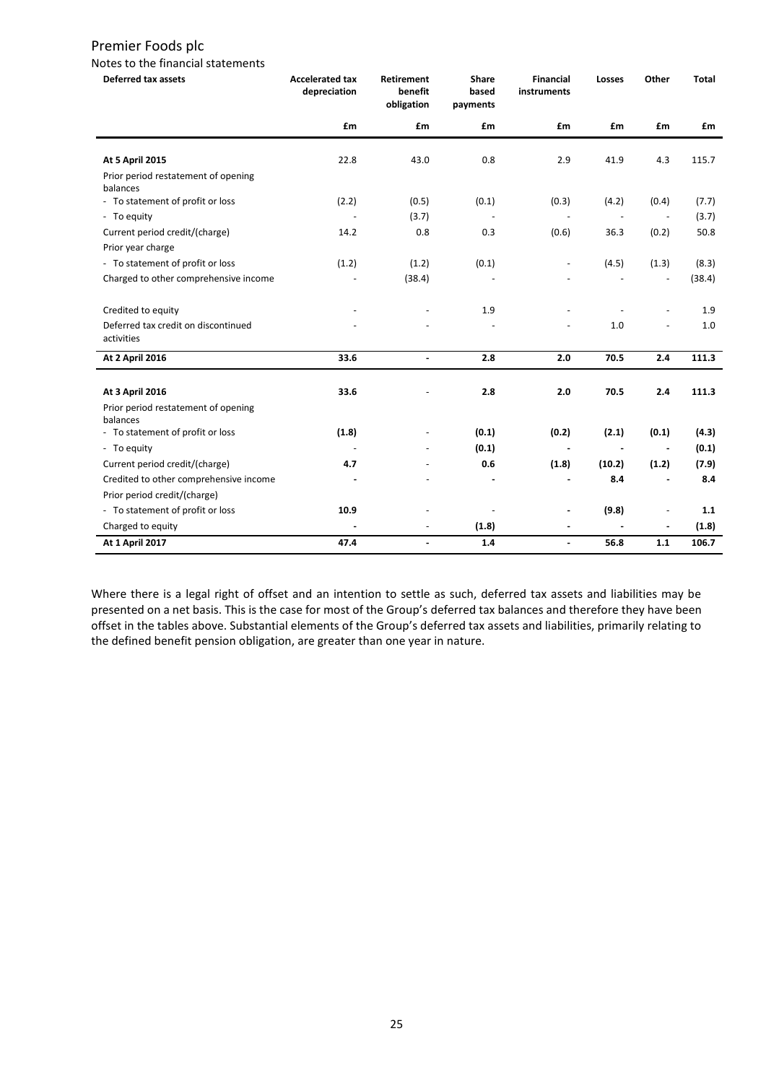Notes to the financial statements

| <b>Deferred tax assets</b>                      | <b>Accelerated tax</b><br>depreciation | <b>Retirement</b><br>benefit<br>obligation | Share<br>based<br>payments | <b>Financial</b><br>instruments | Losses         | Other          | <b>Total</b> |
|-------------------------------------------------|----------------------------------------|--------------------------------------------|----------------------------|---------------------------------|----------------|----------------|--------------|
|                                                 | £m                                     | £m                                         | £m                         | £m                              | £m             | £m             | £m           |
| <b>At 5 April 2015</b>                          | 22.8                                   | 43.0                                       | 0.8                        | 2.9                             | 41.9           | 4.3            | 115.7        |
| Prior period restatement of opening<br>balances |                                        |                                            |                            |                                 |                |                |              |
| - To statement of profit or loss                | (2.2)                                  | (0.5)                                      | (0.1)                      | (0.3)                           | (4.2)          | (0.4)          | (7.7)        |
| - To equity                                     | $\blacksquare$                         | (3.7)                                      | $\blacksquare$             | L,                              | $\blacksquare$ | $\blacksquare$ | (3.7)        |
| Current period credit/(charge)                  | 14.2                                   | 0.8                                        | 0.3                        | (0.6)                           | 36.3           | (0.2)          | 50.8         |
| Prior year charge                               |                                        |                                            |                            |                                 |                |                |              |
| - To statement of profit or loss                | (1.2)                                  | (1.2)                                      | (0.1)                      | L,                              | (4.5)          | (1.3)          | (8.3)        |
| Charged to other comprehensive income           |                                        | (38.4)                                     |                            |                                 |                | L,             | (38.4)       |
|                                                 |                                        |                                            |                            |                                 |                |                |              |
| Credited to equity                              |                                        | ÷,                                         | 1.9                        |                                 | $\sim$         | L,             | 1.9          |
| Deferred tax credit on discontinued             |                                        |                                            |                            |                                 | 1.0            | $\blacksquare$ | 1.0          |
| activities                                      |                                        |                                            |                            |                                 |                |                |              |
| <b>At 2 April 2016</b>                          | 33.6                                   | $\overline{a}$                             | 2.8                        | 2.0                             | 70.5           | 2.4            | 111.3        |
|                                                 |                                        |                                            |                            |                                 |                |                |              |
| At 3 April 2016                                 | 33.6                                   |                                            | 2.8                        | 2.0                             | 70.5           | 2.4            | 111.3        |
| Prior period restatement of opening<br>balances |                                        |                                            |                            |                                 |                |                |              |
| - To statement of profit or loss                | (1.8)                                  |                                            | (0.1)                      | (0.2)                           | (2.1)          | (0.1)          | (4.3)        |
| - To equity                                     |                                        |                                            | (0.1)                      | $\blacksquare$                  | $\blacksquare$ | $\blacksquare$ | (0.1)        |
| Current period credit/(charge)                  | 4.7                                    |                                            | 0.6                        | (1.8)                           | (10.2)         | (1.2)          | (7.9)        |
| Credited to other comprehensive income          |                                        |                                            |                            |                                 | 8.4            | $\overline{a}$ | 8.4          |
| Prior period credit/(charge)                    |                                        |                                            |                            |                                 |                |                |              |
| - To statement of profit or loss                | 10.9                                   |                                            |                            | $\blacksquare$                  | (9.8)          | $\overline{a}$ | 1.1          |
| Charged to equity                               | $\sim$                                 | ä,                                         | (1.8)                      |                                 | L,             | $\blacksquare$ | (1.8)        |
| <b>At 1 April 2017</b>                          | 47.4                                   | ä,                                         | 1.4                        | $\overline{a}$                  | 56.8           | 1.1            | 106.7        |

Where there is a legal right of offset and an intention to settle as such, deferred tax assets and liabilities may be presented on a net basis. This is the case for most of the Group's deferred tax balances and therefore they have been offset in the tables above. Substantial elements of the Group's deferred tax assets and liabilities, primarily relating to the defined benefit pension obligation, are greater than one year in nature.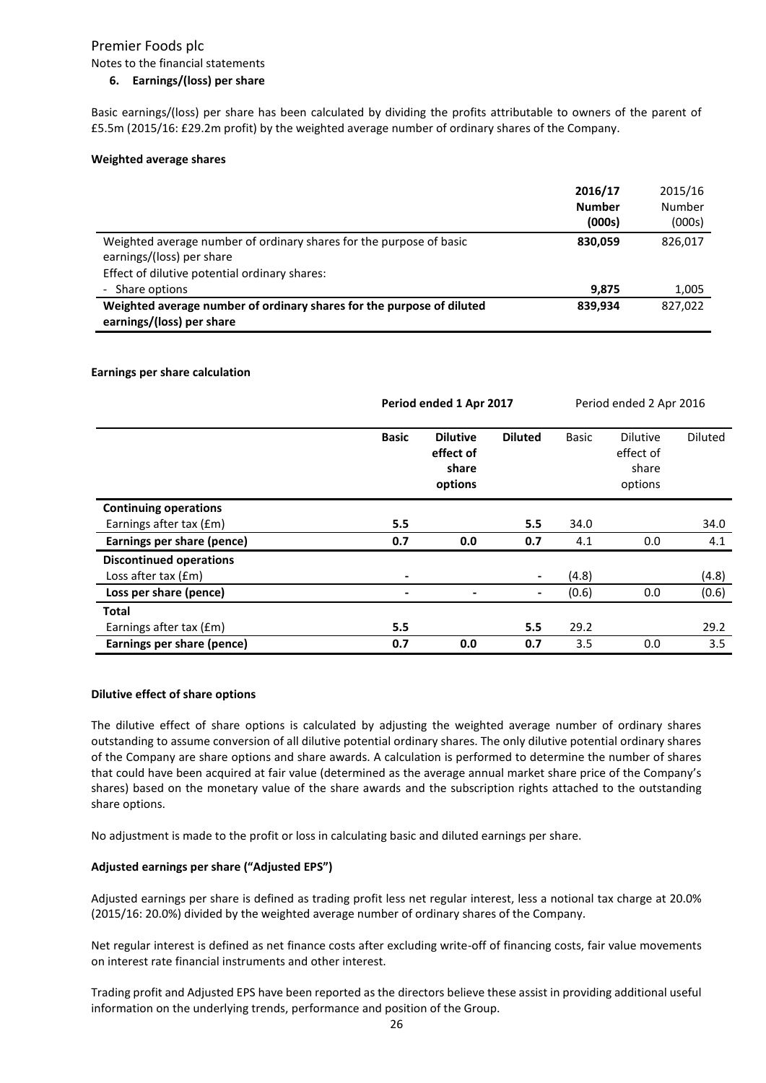# **6. Earnings/(loss) per share**

Basic earnings/(loss) per share has been calculated by dividing the profits attributable to owners of the parent of £5.5m (2015/16: £29.2m profit) by the weighted average number of ordinary shares of the Company.

#### **Weighted average shares**

|                                                                                                    | 2016/17<br><b>Number</b><br>(000s) | 2015/16<br>Number<br>(000s) |
|----------------------------------------------------------------------------------------------------|------------------------------------|-----------------------------|
| Weighted average number of ordinary shares for the purpose of basic<br>earnings/(loss) per share   | 830.059                            | 826,017                     |
| Effect of dilutive potential ordinary shares:                                                      |                                    |                             |
| - Share options                                                                                    | 9,875                              | 1,005                       |
| Weighted average number of ordinary shares for the purpose of diluted<br>earnings/(loss) per share | 839,934                            | 827,022                     |

#### **Earnings per share calculation**

|                                | Period ended 1 Apr 2017 |                                                  |                | Period ended 2 Apr 2016 |                                                  |                |
|--------------------------------|-------------------------|--------------------------------------------------|----------------|-------------------------|--------------------------------------------------|----------------|
|                                | <b>Basic</b>            | <b>Dilutive</b><br>effect of<br>share<br>options | <b>Diluted</b> | <b>Basic</b>            | <b>Dilutive</b><br>effect of<br>share<br>options | <b>Diluted</b> |
| <b>Continuing operations</b>   |                         |                                                  |                |                         |                                                  |                |
| Earnings after tax (£m)        | 5.5                     |                                                  | 5.5            | 34.0                    |                                                  | 34.0           |
| Earnings per share (pence)     | 0.7                     | 0.0                                              | 0.7            | 4.1                     | 0.0                                              | 4.1            |
| <b>Discontinued operations</b> |                         |                                                  |                |                         |                                                  |                |
| Loss after tax (£m)            | $\blacksquare$          |                                                  | ۰              | (4.8)                   |                                                  | (4.8)          |
| Loss per share (pence)         | ٠                       |                                                  | $\blacksquare$ | (0.6)                   | 0.0                                              | (0.6)          |
| <b>Total</b>                   |                         |                                                  |                |                         |                                                  |                |
| Earnings after tax (£m)        | 5.5                     |                                                  | 5.5            | 29.2                    |                                                  | 29.2           |
| Earnings per share (pence)     | 0.7                     | 0.0                                              | 0.7            | 3.5                     | 0.0                                              | 3.5            |

#### **Dilutive effect of share options**

The dilutive effect of share options is calculated by adjusting the weighted average number of ordinary shares outstanding to assume conversion of all dilutive potential ordinary shares. The only dilutive potential ordinary shares of the Company are share options and share awards. A calculation is performed to determine the number of shares that could have been acquired at fair value (determined as the average annual market share price of the Company's shares) based on the monetary value of the share awards and the subscription rights attached to the outstanding share options.

No adjustment is made to the profit or loss in calculating basic and diluted earnings per share.

#### **Adjusted earnings per share ("Adjusted EPS")**

Adjusted earnings per share is defined as trading profit less net regular interest, less a notional tax charge at 20.0% (2015/16: 20.0%) divided by the weighted average number of ordinary shares of the Company.

Net regular interest is defined as net finance costs after excluding write-off of financing costs, fair value movements on interest rate financial instruments and other interest.

Trading profit and Adjusted EPS have been reported as the directors believe these assist in providing additional useful information on the underlying trends, performance and position of the Group.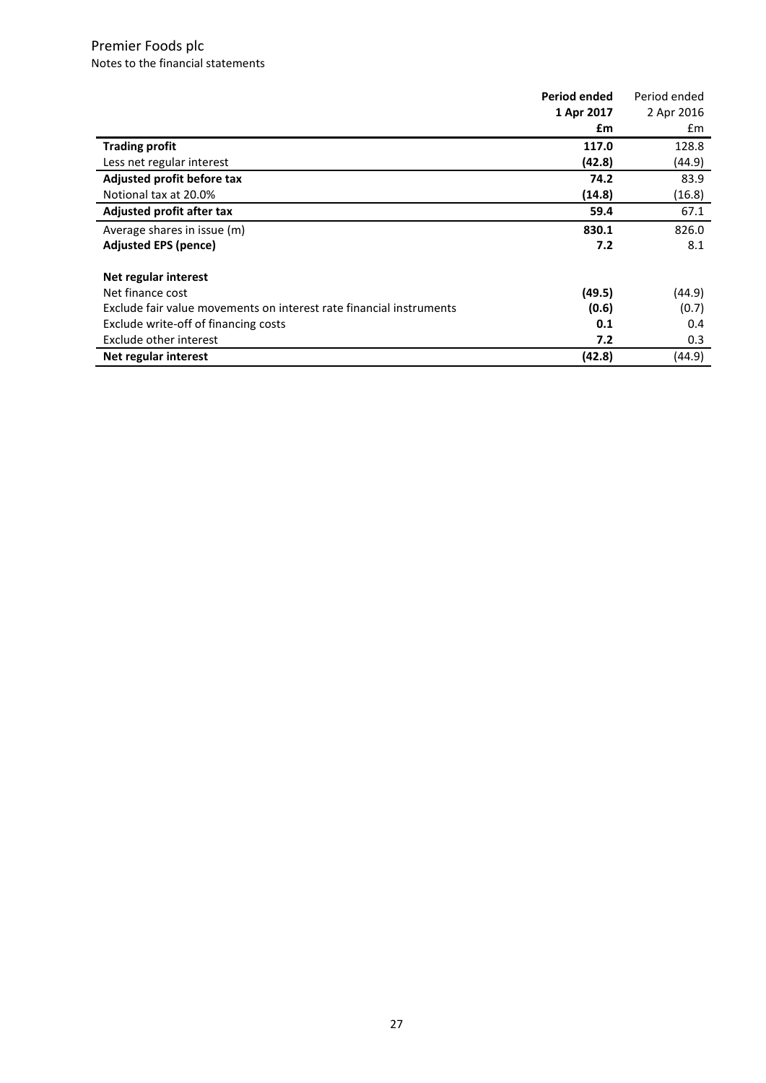|                                                                     | <b>Period ended</b> | Period ended |
|---------------------------------------------------------------------|---------------------|--------------|
|                                                                     | 1 Apr 2017          | 2 Apr 2016   |
|                                                                     | £m                  | £m           |
| <b>Trading profit</b>                                               | 117.0               | 128.8        |
| Less net regular interest                                           | (42.8)              | (44.9)       |
| Adjusted profit before tax                                          | 74.2                | 83.9         |
| Notional tax at 20.0%                                               | (14.8)              | (16.8)       |
| Adjusted profit after tax                                           | 59.4                | 67.1         |
| Average shares in issue (m)                                         | 830.1               | 826.0        |
| <b>Adjusted EPS (pence)</b>                                         | 7.2                 | 8.1          |
| Net regular interest                                                |                     |              |
| Net finance cost                                                    | (49.5)              | (44.9)       |
| Exclude fair value movements on interest rate financial instruments | (0.6)               | (0.7)        |
| Exclude write-off of financing costs                                | 0.1                 | 0.4          |
| Exclude other interest                                              | 7.2                 | 0.3          |
| Net regular interest                                                | (42.8)              | (44.9)       |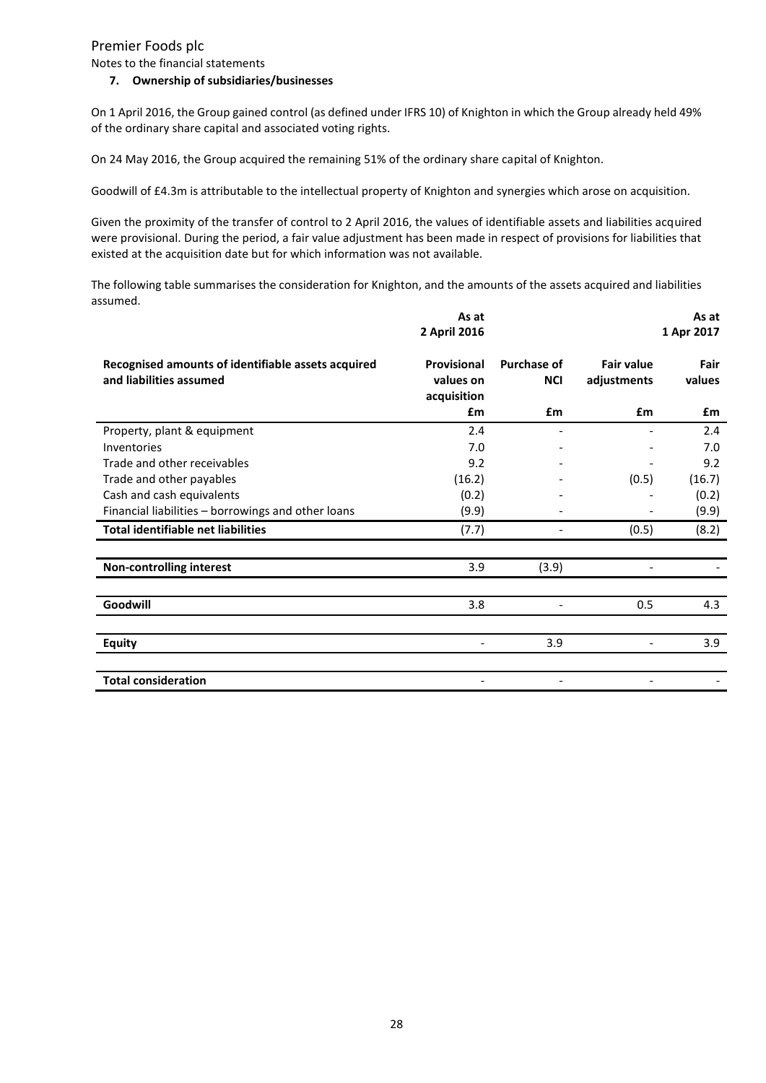Notes to the financial statements

#### **7. Ownership of subsidiaries/businesses**

On 1 April 2016, the Group gained control (as defined under IFRS 10) of Knighton in which the Group already held 49% of the ordinary share capital and associated voting rights.

On 24 May 2016, the Group acquired the remaining 51% of the ordinary share capital of Knighton.

Goodwill of £4.3m is attributable to the intellectual property of Knighton and synergies which arose on acquisition.

Given the proximity of the transfer of control to 2 April 2016, the values of identifiable assets and liabilities acquired were provisional. During the period, a fair value adjustment has been made in respect of provisions for liabilities that existed at the acquisition date but for which information was not available.

The following table summarises the consideration for Knighton, and the amounts of the assets acquired and liabilities assumed.

|                                                                               | As at                                   |                                  |                                  | As at          |
|-------------------------------------------------------------------------------|-----------------------------------------|----------------------------------|----------------------------------|----------------|
|                                                                               | 2 April 2016                            |                                  |                                  | 1 Apr 2017     |
| Recognised amounts of identifiable assets acquired<br>and liabilities assumed | Provisional<br>values on<br>acquisition | <b>Purchase of</b><br><b>NCI</b> | <b>Fair value</b><br>adjustments | Fair<br>values |
|                                                                               | £m                                      | £m                               | £m                               | £m             |
| Property, plant & equipment                                                   | 2.4                                     |                                  |                                  | 2.4            |
| Inventories                                                                   | 7.0                                     |                                  |                                  | 7.0            |
| Trade and other receivables                                                   | 9.2                                     |                                  |                                  | 9.2            |
| Trade and other payables                                                      | (16.2)                                  |                                  | (0.5)                            | (16.7)         |
| Cash and cash equivalents                                                     | (0.2)                                   |                                  |                                  | (0.2)          |
| Financial liabilities - borrowings and other loans                            | (9.9)                                   |                                  |                                  | (9.9)          |
| <b>Total identifiable net liabilities</b>                                     | (7.7)                                   |                                  | (0.5)                            | (8.2)          |
|                                                                               |                                         |                                  |                                  |                |
| <b>Non-controlling interest</b>                                               | 3.9                                     | (3.9)                            |                                  |                |
|                                                                               |                                         |                                  |                                  |                |
| Goodwill                                                                      | 3.8                                     |                                  | 0.5                              | 4.3            |
|                                                                               |                                         |                                  |                                  |                |
| <b>Equity</b>                                                                 |                                         | 3.9                              |                                  | 3.9            |
|                                                                               |                                         |                                  |                                  |                |
| <b>Total consideration</b>                                                    |                                         |                                  |                                  |                |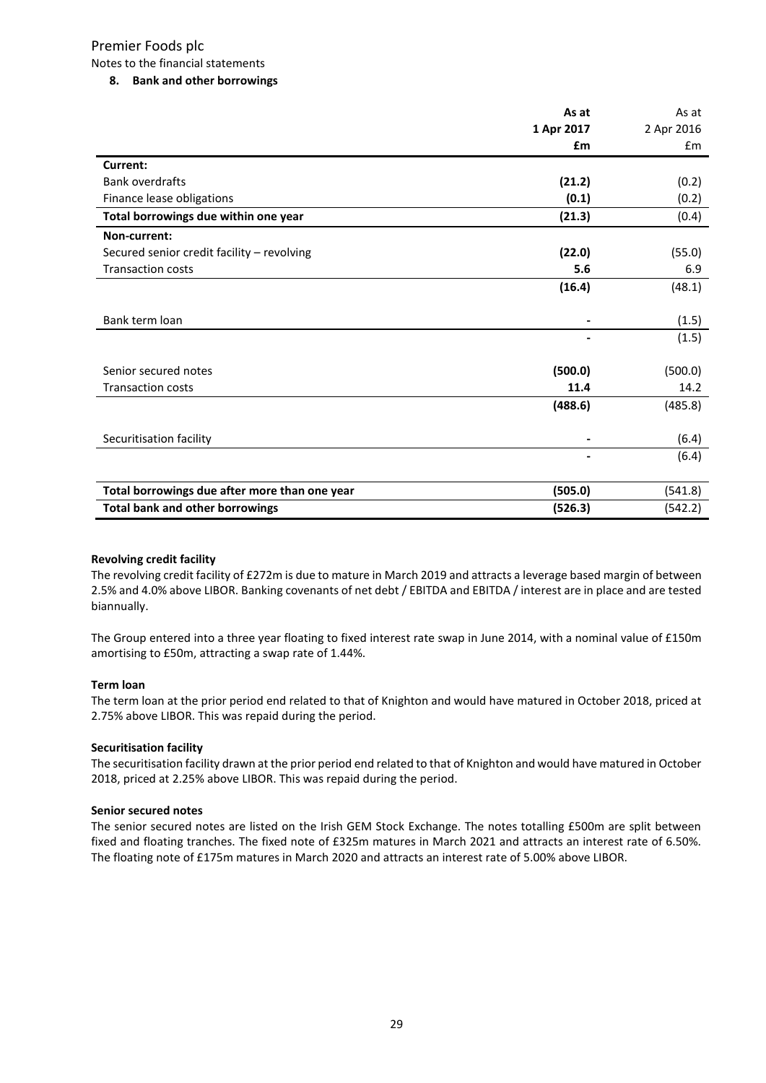Notes to the financial statements

#### **8. Bank and other borrowings**

|                                               | As at      | As at      |
|-----------------------------------------------|------------|------------|
|                                               | 1 Apr 2017 | 2 Apr 2016 |
|                                               | £m         | £m         |
| Current:                                      |            |            |
| <b>Bank overdrafts</b>                        | (21.2)     | (0.2)      |
| Finance lease obligations                     | (0.1)      | (0.2)      |
| Total borrowings due within one year          | (21.3)     | (0.4)      |
| Non-current:                                  |            |            |
| Secured senior credit facility - revolving    | (22.0)     | (55.0)     |
| <b>Transaction costs</b>                      | 5.6        | 6.9        |
|                                               | (16.4)     | (48.1)     |
|                                               |            |            |
| Bank term loan                                |            | (1.5)      |
|                                               |            | (1.5)      |
|                                               |            |            |
| Senior secured notes                          | (500.0)    | (500.0)    |
| <b>Transaction costs</b>                      | 11.4       | 14.2       |
|                                               | (488.6)    | (485.8)    |
|                                               |            |            |
| Securitisation facility                       |            | (6.4)      |
|                                               |            | (6.4)      |
|                                               |            |            |
| Total borrowings due after more than one year | (505.0)    | (541.8)    |
| <b>Total bank and other borrowings</b>        | (526.3)    | (542.2)    |

#### **Revolving credit facility**

The revolving credit facility of £272m is due to mature in March 2019 and attracts a leverage based margin of between 2.5% and 4.0% above LIBOR. Banking covenants of net debt / EBITDA and EBITDA / interest are in place and are tested biannually.

The Group entered into a three year floating to fixed interest rate swap in June 2014, with a nominal value of £150m amortising to £50m, attracting a swap rate of 1.44%.

#### **Term loan**

The term loan at the prior period end related to that of Knighton and would have matured in October 2018, priced at 2.75% above LIBOR. This was repaid during the period.

#### **Securitisation facility**

The securitisation facility drawn at the prior period end related to that of Knighton and would have matured in October 2018, priced at 2.25% above LIBOR. This was repaid during the period.

#### **Senior secured notes**

The senior secured notes are listed on the Irish GEM Stock Exchange. The notes totalling £500m are split between fixed and floating tranches. The fixed note of £325m matures in March 2021 and attracts an interest rate of 6.50%. The floating note of £175m matures in March 2020 and attracts an interest rate of 5.00% above LIBOR.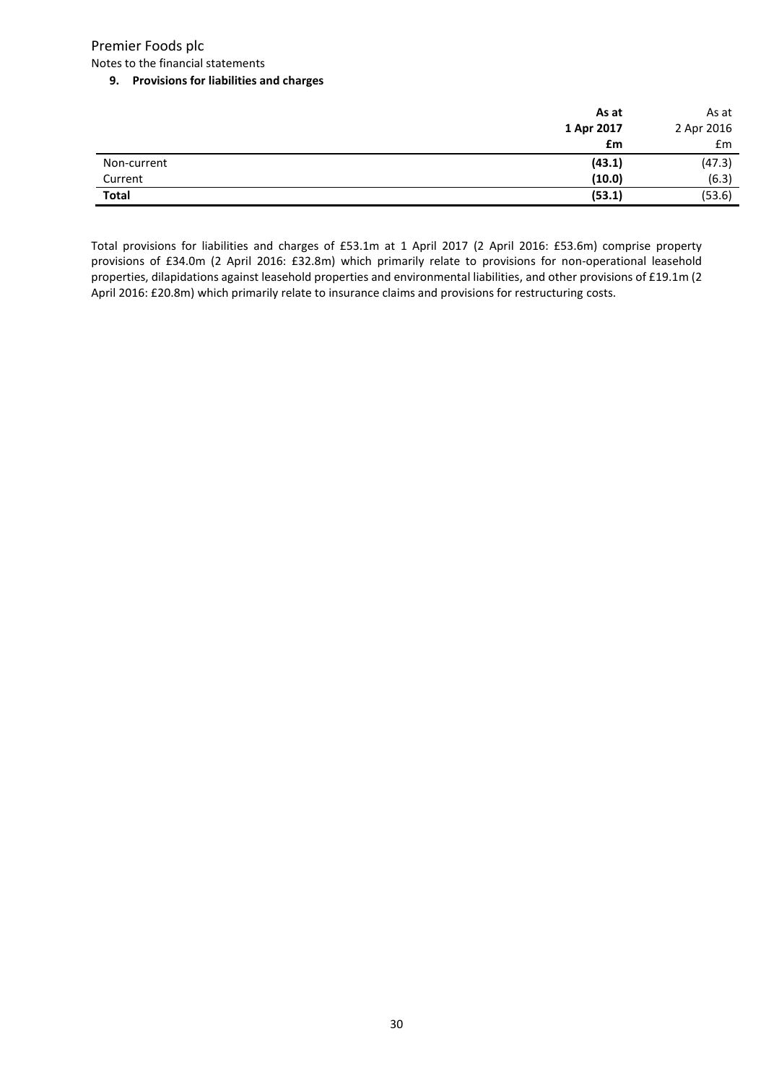### **9. Provisions for liabilities and charges**

|              | As at      | As at      |
|--------------|------------|------------|
|              | 1 Apr 2017 | 2 Apr 2016 |
|              | £m         | Em         |
| Non-current  | (43.1)     | (47.3)     |
| Current      | (10.0)     | (6.3)      |
| <b>Total</b> | (53.1)     | (53.6)     |

Total provisions for liabilities and charges of £53.1m at 1 April 2017 (2 April 2016: £53.6m) comprise property provisions of £34.0m (2 April 2016: £32.8m) which primarily relate to provisions for non-operational leasehold properties, dilapidations against leasehold properties and environmental liabilities, and other provisions of £19.1m (2 April 2016: £20.8m) which primarily relate to insurance claims and provisions for restructuring costs.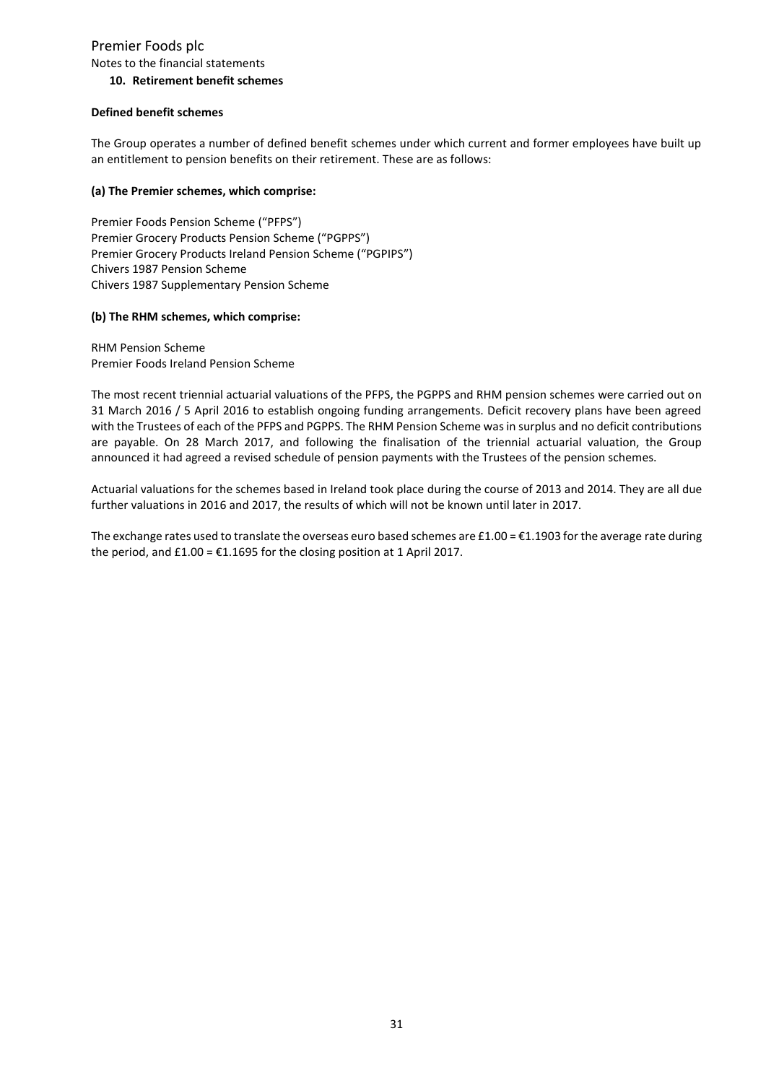#### **10. Retirement benefit schemes**

#### **Defined benefit schemes**

The Group operates a number of defined benefit schemes under which current and former employees have built up an entitlement to pension benefits on their retirement. These are as follows:

#### **(a) The Premier schemes, which comprise:**

Premier Foods Pension Scheme ("PFPS") Premier Grocery Products Pension Scheme ("PGPPS") Premier Grocery Products Ireland Pension Scheme ("PGPIPS") Chivers 1987 Pension Scheme Chivers 1987 Supplementary Pension Scheme

#### **(b) The RHM schemes, which comprise:**

RHM Pension Scheme Premier Foods Ireland Pension Scheme

The most recent triennial actuarial valuations of the PFPS, the PGPPS and RHM pension schemes were carried out on 31 March 2016 / 5 April 2016 to establish ongoing funding arrangements. Deficit recovery plans have been agreed with the Trustees of each of the PFPS and PGPPS. The RHM Pension Scheme was in surplus and no deficit contributions are payable. On 28 March 2017, and following the finalisation of the triennial actuarial valuation, the Group announced it had agreed a revised schedule of pension payments with the Trustees of the pension schemes.

Actuarial valuations for the schemes based in Ireland took place during the course of 2013 and 2014. They are all due further valuations in 2016 and 2017, the results of which will not be known until later in 2017.

The exchange rates used to translate the overseas euro based schemes are £1.00 =  $£1.1903$  for the average rate during the period, and  $£1.00 = £1.1695$  for the closing position at 1 April 2017.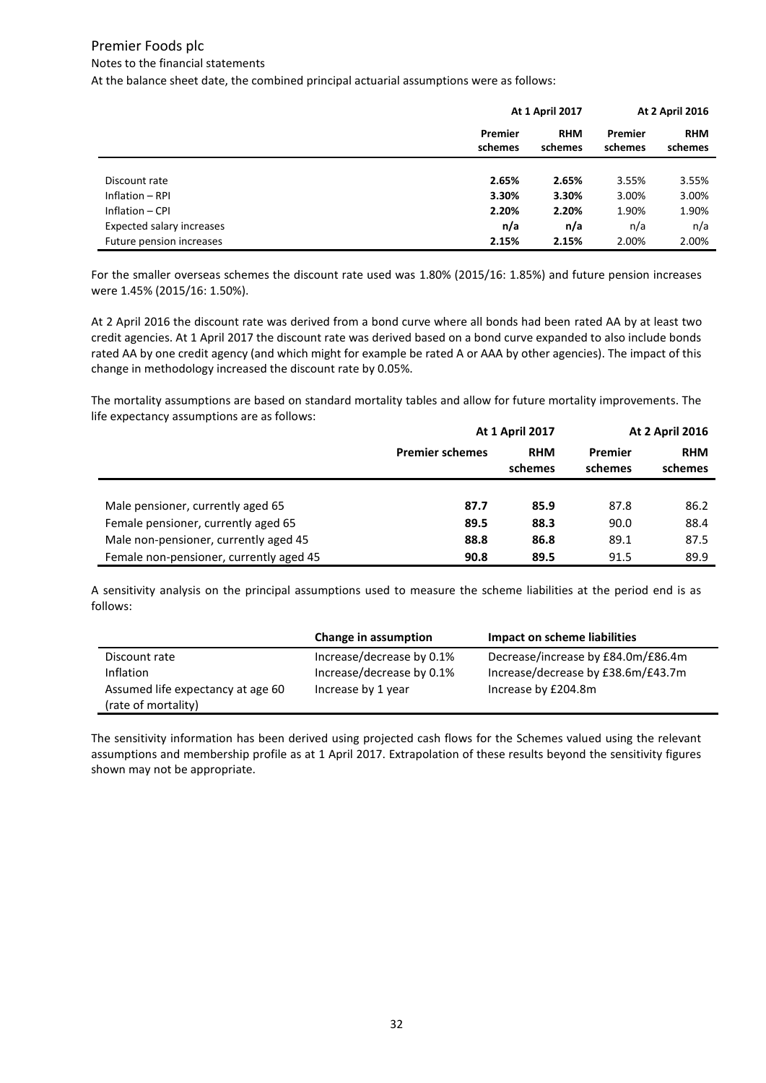# Premier Foods plc Notes to the financial statements At the balance sheet date, the combined principal actuarial assumptions were as follows:

|                           |                    | <b>At 1 April 2017</b> |                    | <b>At 2 April 2016</b> |
|---------------------------|--------------------|------------------------|--------------------|------------------------|
|                           | Premier<br>schemes | <b>RHM</b><br>schemes  | Premier<br>schemes | <b>RHM</b><br>schemes  |
|                           |                    |                        |                    |                        |
| Discount rate             | 2.65%              | 2.65%                  | 3.55%              | 3.55%                  |
| Inflation - RPI           | 3.30%              | 3.30%                  | 3.00%              | 3.00%                  |
| Inflation - CPI           | 2.20%              | 2.20%                  | 1.90%              | 1.90%                  |
| Expected salary increases | n/a                | n/a                    | n/a                | n/a                    |
| Future pension increases  | 2.15%              | 2.15%                  | 2.00%              | 2.00%                  |

For the smaller overseas schemes the discount rate used was 1.80% (2015/16: 1.85%) and future pension increases were 1.45% (2015/16: 1.50%).

At 2 April 2016 the discount rate was derived from a bond curve where all bonds had been rated AA by at least two credit agencies. At 1 April 2017 the discount rate was derived based on a bond curve expanded to also include bonds rated AA by one credit agency (and which might for example be rated A or AAA by other agencies). The impact of this change in methodology increased the discount rate by 0.05%.

The mortality assumptions are based on standard mortality tables and allow for future mortality improvements. The life expectancy assumptions are as follows:

|                                         |                        | <b>At 1 April 2017</b> |                    | <b>At 2 April 2016</b> |
|-----------------------------------------|------------------------|------------------------|--------------------|------------------------|
|                                         | <b>Premier schemes</b> | <b>RHM</b><br>schemes  | Premier<br>schemes | <b>RHM</b><br>schemes  |
| Male pensioner, currently aged 65       | 87.7                   | 85.9                   | 87.8               | 86.2                   |
| Female pensioner, currently aged 65     | 89.5                   | 88.3                   | 90.0               | 88.4                   |
| Male non-pensioner, currently aged 45   | 88.8                   | 86.8                   | 89.1               | 87.5                   |
| Female non-pensioner, currently aged 45 | 90.8                   | 89.5                   | 91.5               | 89.9                   |

A sensitivity analysis on the principal assumptions used to measure the scheme liabilities at the period end is as follows:

|                                   | Change in assumption      | Impact on scheme liabilities       |
|-----------------------------------|---------------------------|------------------------------------|
| Discount rate                     | Increase/decrease by 0.1% | Decrease/increase by £84.0m/£86.4m |
| <b>Inflation</b>                  | Increase/decrease by 0.1% | Increase/decrease by £38.6m/£43.7m |
| Assumed life expectancy at age 60 | Increase by 1 year        | Increase by £204.8m                |
| (rate of mortality)               |                           |                                    |

The sensitivity information has been derived using projected cash flows for the Schemes valued using the relevant assumptions and membership profile as at 1 April 2017. Extrapolation of these results beyond the sensitivity figures shown may not be appropriate.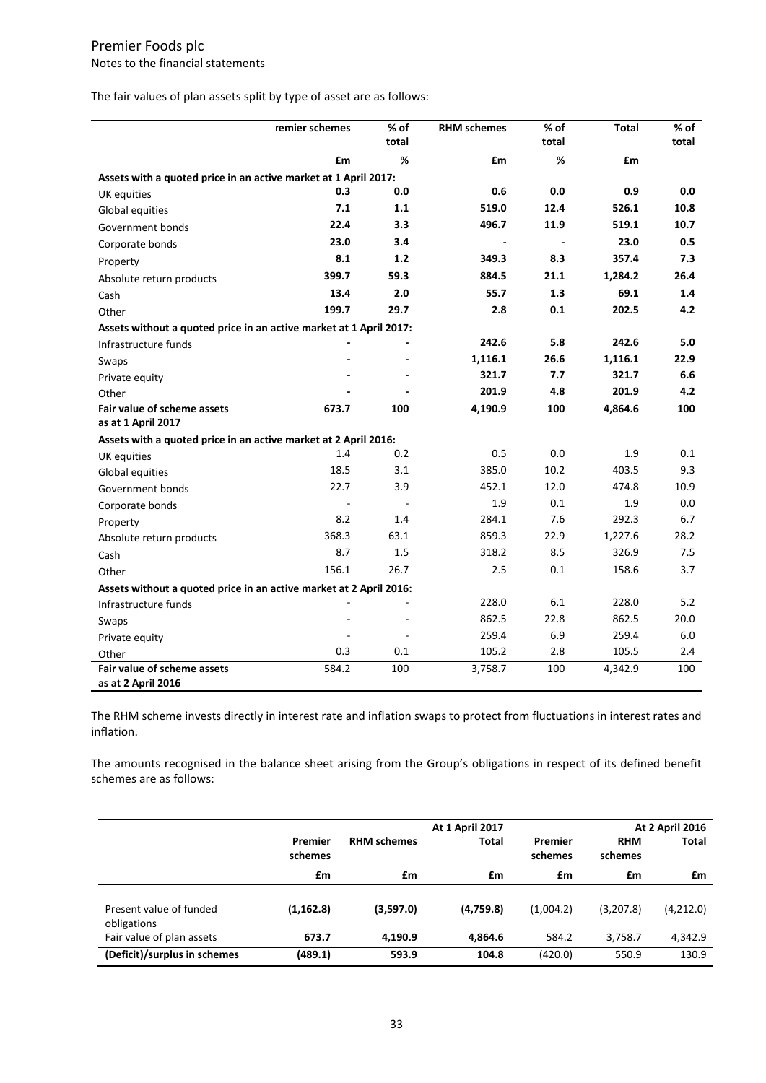The fair values of plan assets split by type of asset are as follows:

|                                                                    | remier schemes | $%$ of                   | <b>RHM schemes</b>       | % of  | Total   | $%$ of  |
|--------------------------------------------------------------------|----------------|--------------------------|--------------------------|-------|---------|---------|
|                                                                    |                | total                    |                          | total |         | total   |
|                                                                    | £m             | %                        | £m                       | %     | £m      |         |
| Assets with a quoted price in an active market at 1 April 2017:    |                |                          |                          |       |         |         |
| UK equities                                                        | 0.3            | 0.0                      | 0.6                      | 0.0   | 0.9     | $0.0\,$ |
| Global equities                                                    | 7.1            | 1.1                      | 519.0                    | 12.4  | 526.1   | 10.8    |
| Government bonds                                                   | 22.4           | 3.3                      | 496.7                    | 11.9  | 519.1   | 10.7    |
| Corporate bonds                                                    | 23.0           | 3.4                      | $\overline{\phantom{a}}$ |       | 23.0    | 0.5     |
| Property                                                           | 8.1            | 1.2                      | 349.3                    | 8.3   | 357.4   | 7.3     |
| Absolute return products                                           | 399.7          | 59.3                     | 884.5                    | 21.1  | 1.284.2 | 26.4    |
| Cash                                                               | 13.4           | 2.0                      | 55.7                     | 1.3   | 69.1    | 1.4     |
| Other                                                              | 199.7          | 29.7                     | 2.8                      | 0.1   | 202.5   | 4.2     |
| Assets without a quoted price in an active market at 1 April 2017: |                |                          |                          |       |         |         |
| Infrastructure funds                                               |                |                          | 242.6                    | 5.8   | 242.6   | 5.0     |
| Swaps                                                              |                |                          | 1,116.1                  | 26.6  | 1,116.1 | 22.9    |
| Private equity                                                     |                | $\overline{\phantom{a}}$ | 321.7                    | 7.7   | 321.7   | 6.6     |
| Other                                                              |                |                          | 201.9                    | 4.8   | 201.9   | 4.2     |
| Fair value of scheme assets                                        | 673.7          | 100                      | 4,190.9                  | 100   | 4,864.6 | 100     |
| as at 1 April 2017                                                 |                |                          |                          |       |         |         |
| Assets with a quoted price in an active market at 2 April 2016:    |                |                          |                          |       |         |         |
| UK equities                                                        | 1.4            | 0.2                      | 0.5                      | 0.0   | 1.9     | 0.1     |
| Global equities                                                    | 18.5           | 3.1                      | 385.0                    | 10.2  | 403.5   | 9.3     |
| Government bonds                                                   | 22.7           | 3.9                      | 452.1                    | 12.0  | 474.8   | 10.9    |
| Corporate bonds                                                    | ä,             | ÷.                       | 1.9                      | 0.1   | 1.9     | 0.0     |
| Property                                                           | 8.2            | 1.4                      | 284.1                    | 7.6   | 292.3   | 6.7     |
| Absolute return products                                           | 368.3          | 63.1                     | 859.3                    | 22.9  | 1,227.6 | 28.2    |
| Cash                                                               | 8.7            | 1.5                      | 318.2                    | 8.5   | 326.9   | 7.5     |
| Other                                                              | 156.1          | 26.7                     | 2.5                      | 0.1   | 158.6   | 3.7     |
| Assets without a quoted price in an active market at 2 April 2016: |                |                          |                          |       |         |         |
| Infrastructure funds                                               |                |                          | 228.0                    | 6.1   | 228.0   | 5.2     |
| Swaps                                                              |                |                          | 862.5                    | 22.8  | 862.5   | 20.0    |
| Private equity                                                     |                |                          | 259.4                    | 6.9   | 259.4   | 6.0     |
| Other                                                              | 0.3            | 0.1                      | 105.2                    | 2.8   | 105.5   | 2.4     |
| <b>Fair value of scheme assets</b><br>as at 2 April 2016           | 584.2          | 100                      | 3,758.7                  | 100   | 4,342.9 | 100     |

The RHM scheme invests directly in interest rate and inflation swaps to protect from fluctuations in interest rates and inflation.

The amounts recognised in the balance sheet arising from the Group's obligations in respect of its defined benefit schemes are as follows:

|                                        |                    |                    | <b>At 1 April 2017</b> |                    |                       | <b>At 2 April 2016</b> |
|----------------------------------------|--------------------|--------------------|------------------------|--------------------|-----------------------|------------------------|
|                                        | Premier<br>schemes | <b>RHM</b> schemes | Total                  | Premier<br>schemes | <b>RHM</b><br>schemes | Total                  |
|                                        | £m                 | £m                 | £m                     | £m                 | £m                    | £m                     |
| Present value of funded<br>obligations | (1, 162.8)         | (3,597.0)          | (4.759.8)              | (1,004.2)          | (3,207.8)             | (4,212.0)              |
| Fair value of plan assets              | 673.7              | 4.190.9            | 4,864.6                | 584.2              | 3,758.7               | 4,342.9                |
| (Deficit)/surplus in schemes           | (489.1)            | 593.9              | 104.8                  | (420.0)            | 550.9                 | 130.9                  |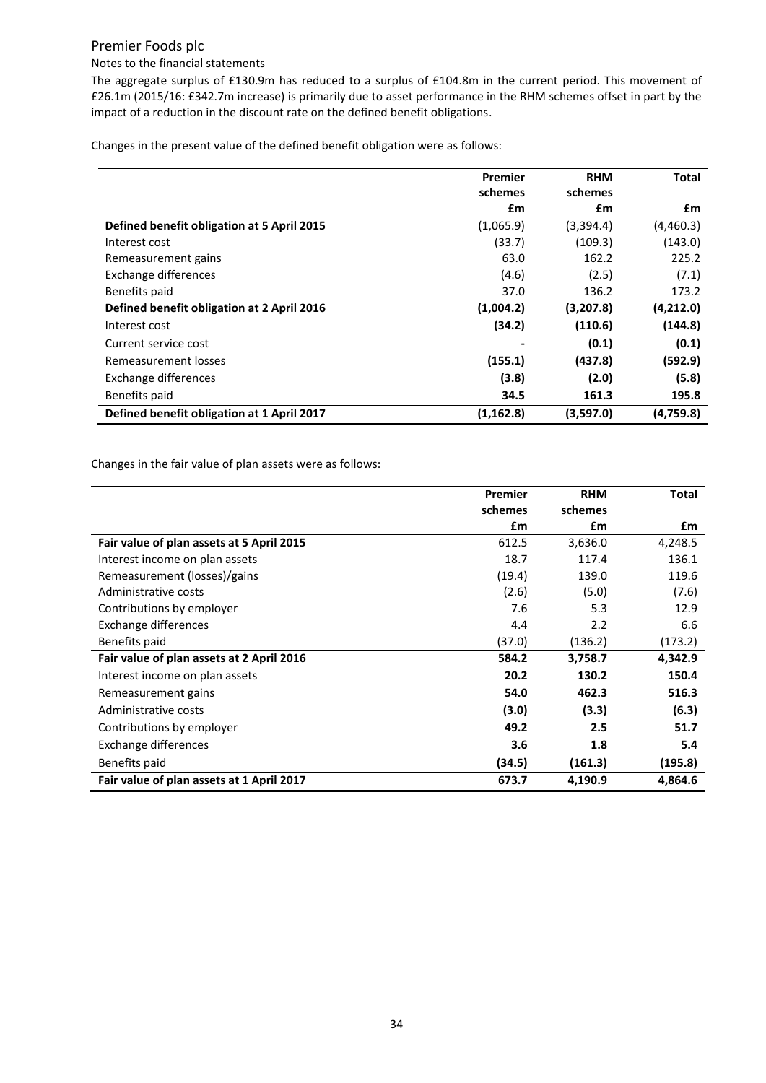### Notes to the financial statements

The aggregate surplus of £130.9m has reduced to a surplus of £104.8m in the current period. This movement of £26.1m (2015/16: £342.7m increase) is primarily due to asset performance in the RHM schemes offset in part by the impact of a reduction in the discount rate on the defined benefit obligations.

Changes in the present value of the defined benefit obligation were as follows:

|                                            | Premier    | <b>RHM</b> | Total     |
|--------------------------------------------|------------|------------|-----------|
|                                            | schemes    | schemes    |           |
|                                            | £m         | £m         | £m        |
| Defined benefit obligation at 5 April 2015 | (1,065.9)  | (3,394.4)  | (4,460.3) |
| Interest cost                              | (33.7)     | (109.3)    | (143.0)   |
| Remeasurement gains                        | 63.0       | 162.2      | 225.2     |
| Exchange differences                       | (4.6)      | (2.5)      | (7.1)     |
| Benefits paid                              | 37.0       | 136.2      | 173.2     |
| Defined benefit obligation at 2 April 2016 | (1,004.2)  | (3,207.8)  | (4,212.0) |
| Interest cost                              | (34.2)     | (110.6)    | (144.8)   |
| Current service cost                       |            | (0.1)      | (0.1)     |
| Remeasurement losses                       | (155.1)    | (437.8)    | (592.9)   |
| Exchange differences                       | (3.8)      | (2.0)      | (5.8)     |
| Benefits paid                              | 34.5       | 161.3      | 195.8     |
| Defined benefit obligation at 1 April 2017 | (1, 162.8) | (3,597.0)  | (4,759.8) |

Changes in the fair value of plan assets were as follows:

|                                           | Premier | <b>RHM</b> | <b>Total</b> |
|-------------------------------------------|---------|------------|--------------|
|                                           | schemes | schemes    |              |
|                                           | £m      | £m         | £m           |
| Fair value of plan assets at 5 April 2015 | 612.5   | 3,636.0    | 4,248.5      |
| Interest income on plan assets            | 18.7    | 117.4      | 136.1        |
| Remeasurement (losses)/gains              | (19.4)  | 139.0      | 119.6        |
| Administrative costs                      | (2.6)   | (5.0)      | (7.6)        |
| Contributions by employer                 | 7.6     | 5.3        | 12.9         |
| Exchange differences                      | 4.4     | 2.2        | 6.6          |
| Benefits paid                             | (37.0)  | (136.2)    | (173.2)      |
| Fair value of plan assets at 2 April 2016 | 584.2   | 3,758.7    | 4,342.9      |
| Interest income on plan assets            | 20.2    | 130.2      | 150.4        |
| Remeasurement gains                       | 54.0    | 462.3      | 516.3        |
| Administrative costs                      | (3.0)   | (3.3)      | (6.3)        |
| Contributions by employer                 | 49.2    | 2.5        | 51.7         |
| Exchange differences                      | 3.6     | 1.8        | 5.4          |
| Benefits paid                             | (34.5)  | (161.3)    | (195.8)      |
| Fair value of plan assets at 1 April 2017 | 673.7   | 4,190.9    | 4,864.6      |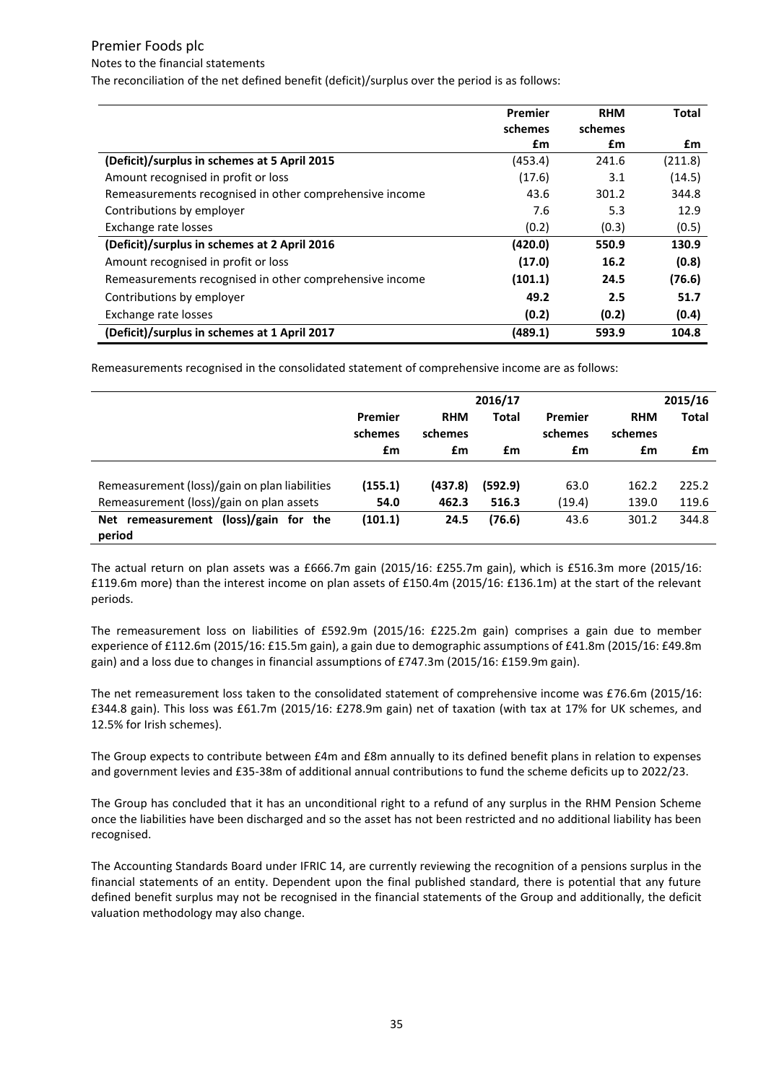# Premier Foods plc Notes to the financial statements The reconciliation of the net defined benefit (deficit)/surplus over the period is as follows:

|                                                         | Premier | <b>RHM</b> | <b>Total</b> |
|---------------------------------------------------------|---------|------------|--------------|
|                                                         | schemes | schemes    |              |
|                                                         | £m      | £m         | £m           |
| (Deficit)/surplus in schemes at 5 April 2015            | (453.4) | 241.6      | (211.8)      |
| Amount recognised in profit or loss                     | (17.6)  | 3.1        | (14.5)       |
| Remeasurements recognised in other comprehensive income | 43.6    | 301.2      | 344.8        |
| Contributions by employer                               | 7.6     | 5.3        | 12.9         |
| Exchange rate losses                                    | (0.2)   | (0.3)      | (0.5)        |
| (Deficit)/surplus in schemes at 2 April 2016            | (420.0) | 550.9      | 130.9        |
| Amount recognised in profit or loss                     | (17.0)  | 16.2       | (0.8)        |
| Remeasurements recognised in other comprehensive income | (101.1) | 24.5       | (76.6)       |
| Contributions by employer                               | 49.2    | 2.5        | 51.7         |
| Exchange rate losses                                    | (0.2)   | (0.2)      | (0.4)        |
| (Deficit)/surplus in schemes at 1 April 2017            | (489.1) | 593.9      | 104.8        |

Remeasurements recognised in the consolidated statement of comprehensive income are as follows:

|                                                    |                    |                       | 2016/17      |                    |                       | 2015/16      |
|----------------------------------------------------|--------------------|-----------------------|--------------|--------------------|-----------------------|--------------|
|                                                    | Premier<br>schemes | <b>RHM</b><br>schemes | <b>Total</b> | Premier<br>schemes | <b>RHM</b><br>schemes | <b>Total</b> |
|                                                    | £m                 | £m                    | £m           | £m                 | £m                    | £m           |
|                                                    |                    |                       |              |                    |                       |              |
| Remeasurement (loss)/gain on plan liabilities      | (155.1)            | (437.8)               | (592.9)      | 63.0               | 162.2                 | 225.2        |
| Remeasurement (loss)/gain on plan assets           | 54.0               | 462.3                 | 516.3        | (19.4)             | 139.0                 | 119.6        |
| remeasurement (loss)/gain for the<br>Net<br>period | (101.1)            | 24.5                  | (76.6)       | 43.6               | 301.2                 | 344.8        |

The actual return on plan assets was a £666.7m gain (2015/16: £255.7m gain), which is £516.3m more (2015/16: £119.6m more) than the interest income on plan assets of £150.4m (2015/16: £136.1m) at the start of the relevant periods.

The remeasurement loss on liabilities of £592.9m (2015/16: £225.2m gain) comprises a gain due to member experience of £112.6m (2015/16: £15.5m gain), a gain due to demographic assumptions of £41.8m (2015/16: £49.8m gain) and a loss due to changes in financial assumptions of £747.3m (2015/16: £159.9m gain).

The net remeasurement loss taken to the consolidated statement of comprehensive income was £76.6m (2015/16: £344.8 gain). This loss was £61.7m (2015/16: £278.9m gain) net of taxation (with tax at 17% for UK schemes, and 12.5% for Irish schemes).

The Group expects to contribute between £4m and £8m annually to its defined benefit plans in relation to expenses and government levies and £35-38m of additional annual contributions to fund the scheme deficits up to 2022/23.

The Group has concluded that it has an unconditional right to a refund of any surplus in the RHM Pension Scheme once the liabilities have been discharged and so the asset has not been restricted and no additional liability has been recognised.

The Accounting Standards Board under IFRIC 14, are currently reviewing the recognition of a pensions surplus in the financial statements of an entity. Dependent upon the final published standard, there is potential that any future defined benefit surplus may not be recognised in the financial statements of the Group and additionally, the deficit valuation methodology may also change.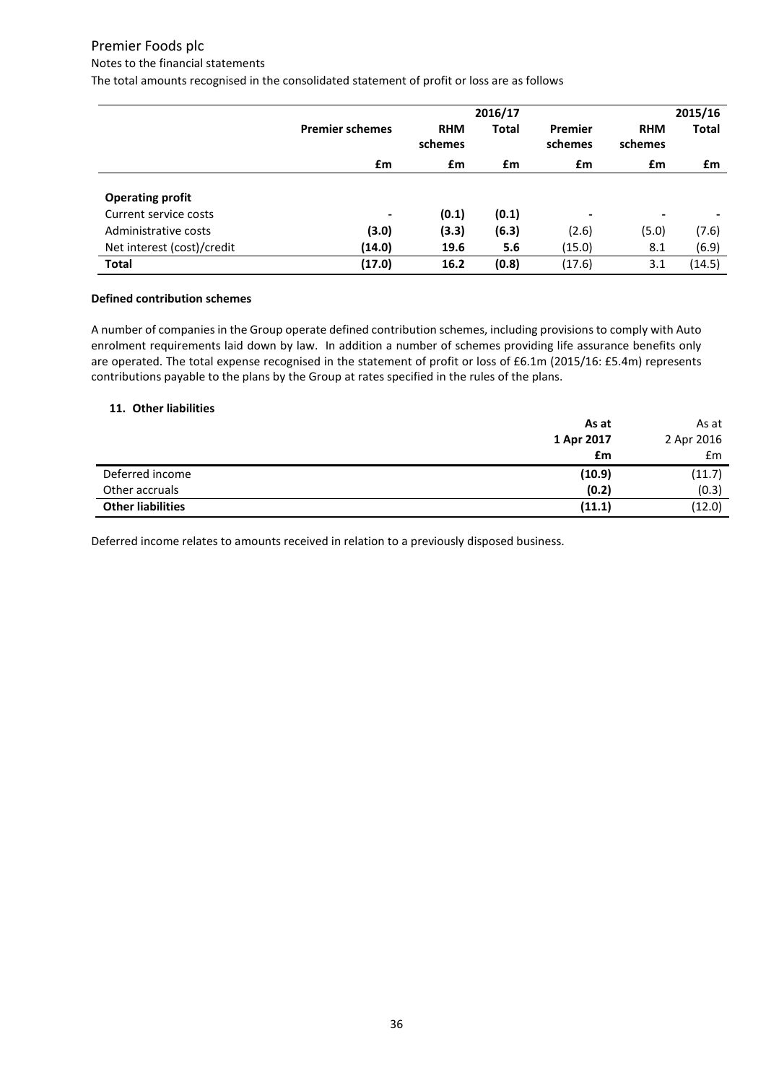# Premier Foods plc Notes to the financial statements The total amounts recognised in the consolidated statement of profit or loss are as follows

|                            | 2016/17                |                       |              |                    |                       | 2015/16                  |  |
|----------------------------|------------------------|-----------------------|--------------|--------------------|-----------------------|--------------------------|--|
|                            | <b>Premier schemes</b> | <b>RHM</b><br>schemes | <b>Total</b> | Premier<br>schemes | <b>RHM</b><br>schemes | <b>Total</b>             |  |
|                            | £m                     | £m                    | £m           | £m                 | £m                    | £m                       |  |
| <b>Operating profit</b>    |                        |                       |              |                    |                       |                          |  |
| Current service costs      | $\blacksquare$         | (0.1)                 | (0.1)        | $\blacksquare$     | -                     | $\overline{\phantom{0}}$ |  |
| Administrative costs       | (3.0)                  | (3.3)                 | (6.3)        | (2.6)              | (5.0)                 | (7.6)                    |  |
| Net interest (cost)/credit | (14.0)                 | 19.6                  | 5.6          | (15.0)             | 8.1                   | (6.9)                    |  |
| <b>Total</b>               | (17.0)                 | 16.2                  | (0.8)        | (17.6)             | 3.1                   | (14.5)                   |  |

#### **Defined contribution schemes**

A number of companies in the Group operate defined contribution schemes, including provisions to comply with Auto enrolment requirements laid down by law. In addition a number of schemes providing life assurance benefits only are operated. The total expense recognised in the statement of profit or loss of £6.1m (2015/16: £5.4m) represents contributions payable to the plans by the Group at rates specified in the rules of the plans.

#### **11. Other liabilities**

|                          | As at      | As at      |
|--------------------------|------------|------------|
|                          | 1 Apr 2017 | 2 Apr 2016 |
|                          | £m         | £m         |
| Deferred income          | (10.9)     | (11.7)     |
| Other accruals           | (0.2)      | (0.3)      |
| <b>Other liabilities</b> | (11.1)     | (12.0)     |

Deferred income relates to amounts received in relation to a previously disposed business.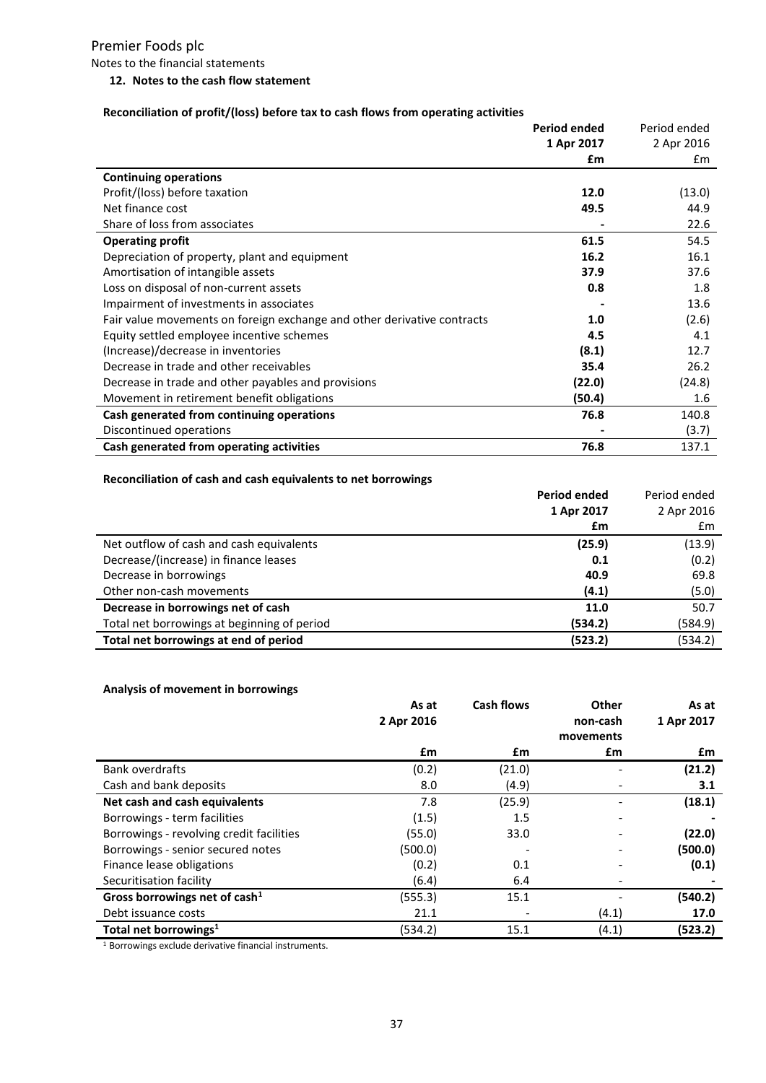# Notes to the financial statements

# **12. Notes to the cash flow statement**

### **Reconciliation of profit/(loss) before tax to cash flows from operating activities**

|                                                                         | <b>Period ended</b> | Period ended |
|-------------------------------------------------------------------------|---------------------|--------------|
|                                                                         | 1 Apr 2017          | 2 Apr 2016   |
|                                                                         | £m                  | £m           |
| <b>Continuing operations</b>                                            |                     |              |
| Profit/(loss) before taxation                                           | 12.0                | (13.0)       |
| Net finance cost                                                        | 49.5                | 44.9         |
| Share of loss from associates                                           |                     | 22.6         |
| <b>Operating profit</b>                                                 | 61.5                | 54.5         |
| Depreciation of property, plant and equipment                           | 16.2                | 16.1         |
| Amortisation of intangible assets                                       | 37.9                | 37.6         |
| Loss on disposal of non-current assets                                  | 0.8                 | 1.8          |
| Impairment of investments in associates                                 |                     | 13.6         |
| Fair value movements on foreign exchange and other derivative contracts | 1.0                 | (2.6)        |
| Equity settled employee incentive schemes                               | 4.5                 | 4.1          |
| (Increase)/decrease in inventories                                      | (8.1)               | 12.7         |
| Decrease in trade and other receivables                                 | 35.4                | 26.2         |
| Decrease in trade and other payables and provisions                     | (22.0)              | (24.8)       |
| Movement in retirement benefit obligations                              | (50.4)              | 1.6          |
| Cash generated from continuing operations                               | 76.8                | 140.8        |
| Discontinued operations                                                 |                     | (3.7)        |
| Cash generated from operating activities                                | 76.8                | 137.1        |

## **Reconciliation of cash and cash equivalents to net borrowings**

|            | Period ended        |
|------------|---------------------|
| 1 Apr 2017 | 2 Apr 2016          |
| £m         | £m                  |
| (25.9)     | (13.9)              |
| 0.1        | (0.2)               |
| 40.9       | 69.8                |
| (4.1)      | (5.0)               |
| 11.0       | 50.7                |
| (534.2)    | (584.9)             |
| (523.2)    | (534.2)             |
|            | <b>Period ended</b> |

#### **Analysis of movement in borrowings**

|                                          | As at      | <b>Cash flows</b> | <b>Other</b> | As at      |
|------------------------------------------|------------|-------------------|--------------|------------|
|                                          | 2 Apr 2016 |                   | non-cash     | 1 Apr 2017 |
|                                          |            |                   | movements    |            |
|                                          | £m         | £m                | £m           | £m         |
| <b>Bank overdrafts</b>                   | (0.2)      | (21.0)            |              | (21.2)     |
| Cash and bank deposits                   | 8.0        | (4.9)             |              | 3.1        |
| Net cash and cash equivalents            | 7.8        | (25.9)            |              | (18.1)     |
| Borrowings - term facilities             | (1.5)      | 1.5               |              |            |
| Borrowings - revolving credit facilities | (55.0)     | 33.0              |              | (22.0)     |
| Borrowings - senior secured notes        | (500.0)    |                   |              | (500.0)    |
| Finance lease obligations                | (0.2)      | 0.1               |              | (0.1)      |
| Securitisation facility                  | (6.4)      | 6.4               | ٠            |            |
| Gross borrowings net of cash $1$         | (555.3)    | 15.1              |              | (540.2)    |
| Debt issuance costs                      | 21.1       |                   | (4.1)        | 17.0       |
| Total net borrowings <sup>1</sup>        | (534.2)    | 15.1              | (4.1)        | (523.2)    |

<sup>1</sup> Borrowings exclude derivative financial instruments.